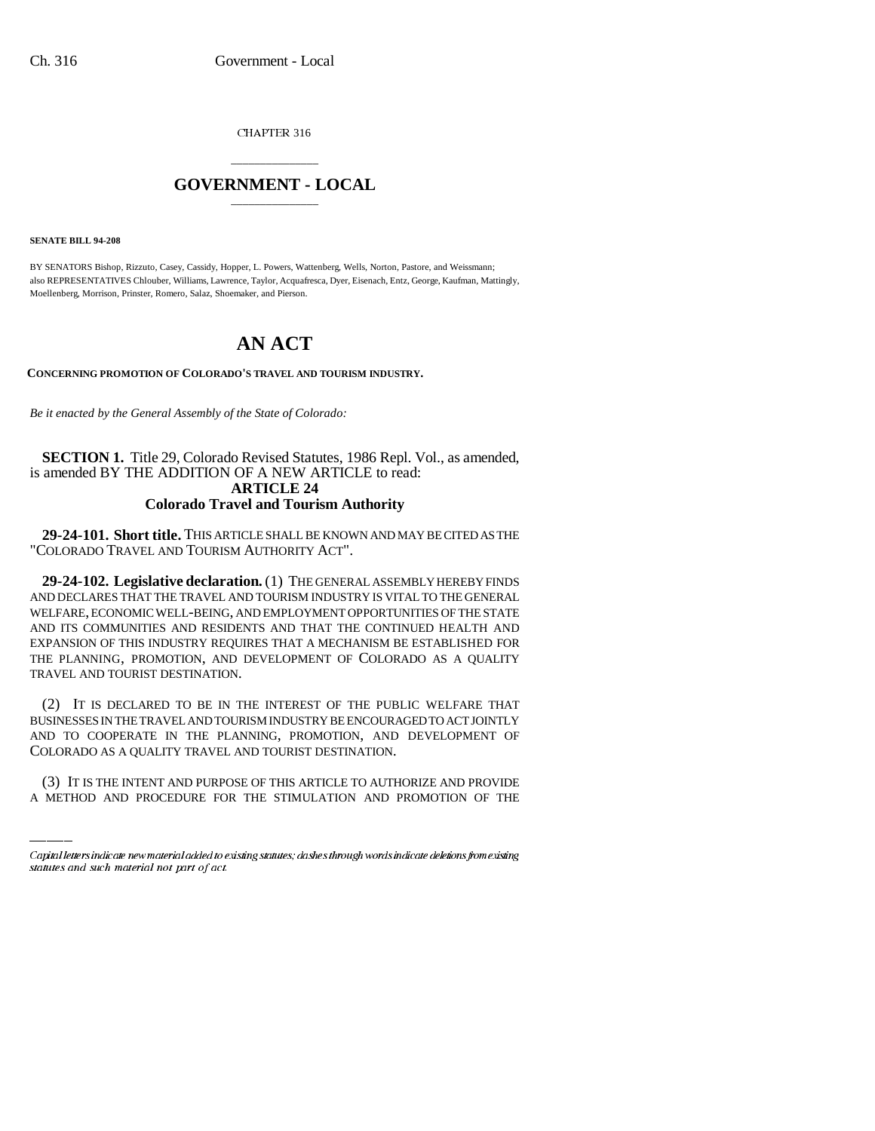CHAPTER 316

## \_\_\_\_\_\_\_\_\_\_\_\_\_\_\_ **GOVERNMENT - LOCAL** \_\_\_\_\_\_\_\_\_\_\_\_\_\_\_

**SENATE BILL 94-208**

BY SENATORS Bishop, Rizzuto, Casey, Cassidy, Hopper, L. Powers, Wattenberg, Wells, Norton, Pastore, and Weissmann; also REPRESENTATIVES Chlouber, Williams, Lawrence, Taylor, Acquafresca, Dyer, Eisenach, Entz, George, Kaufman, Mattingly, Moellenberg, Morrison, Prinster, Romero, Salaz, Shoemaker, and Pierson.

## **AN ACT**

**CONCERNING PROMOTION OF COLORADO'S TRAVEL AND TOURISM INDUSTRY.**

*Be it enacted by the General Assembly of the State of Colorado:*

**SECTION 1.** Title 29, Colorado Revised Statutes, 1986 Repl. Vol., as amended, is amended BY THE ADDITION OF A NEW ARTICLE to read: **ARTICLE 24 Colorado Travel and Tourism Authority**

**29-24-101. Short title.** THIS ARTICLE SHALL BE KNOWN AND MAY BE CITED AS THE "COLORADO TRAVEL AND TOURISM AUTHORITY ACT".

**29-24-102. Legislative declaration.** (1) THE GENERAL ASSEMBLY HEREBY FINDS AND DECLARES THAT THE TRAVEL AND TOURISM INDUSTRY IS VITAL TO THE GENERAL WELFARE, ECONOMIC WELL-BEING, AND EMPLOYMENT OPPORTUNITIES OF THE STATE AND ITS COMMUNITIES AND RESIDENTS AND THAT THE CONTINUED HEALTH AND EXPANSION OF THIS INDUSTRY REQUIRES THAT A MECHANISM BE ESTABLISHED FOR THE PLANNING, PROMOTION, AND DEVELOPMENT OF COLORADO AS A QUALITY TRAVEL AND TOURIST DESTINATION.

AND TO COOPERATE IN THE PLANNING, PROMOTION, AND DEVELOPMENT OF (2) IT IS DECLARED TO BE IN THE INTEREST OF THE PUBLIC WELFARE THAT BUSINESSES IN THE TRAVEL AND TOURISM INDUSTRY BE ENCOURAGED TO ACT JOINTLY COLORADO AS A QUALITY TRAVEL AND TOURIST DESTINATION.

(3) IT IS THE INTENT AND PURPOSE OF THIS ARTICLE TO AUTHORIZE AND PROVIDE A METHOD AND PROCEDURE FOR THE STIMULATION AND PROMOTION OF THE

Capital letters indicate new material added to existing statutes; dashes through words indicate deletions from existing statutes and such material not part of act.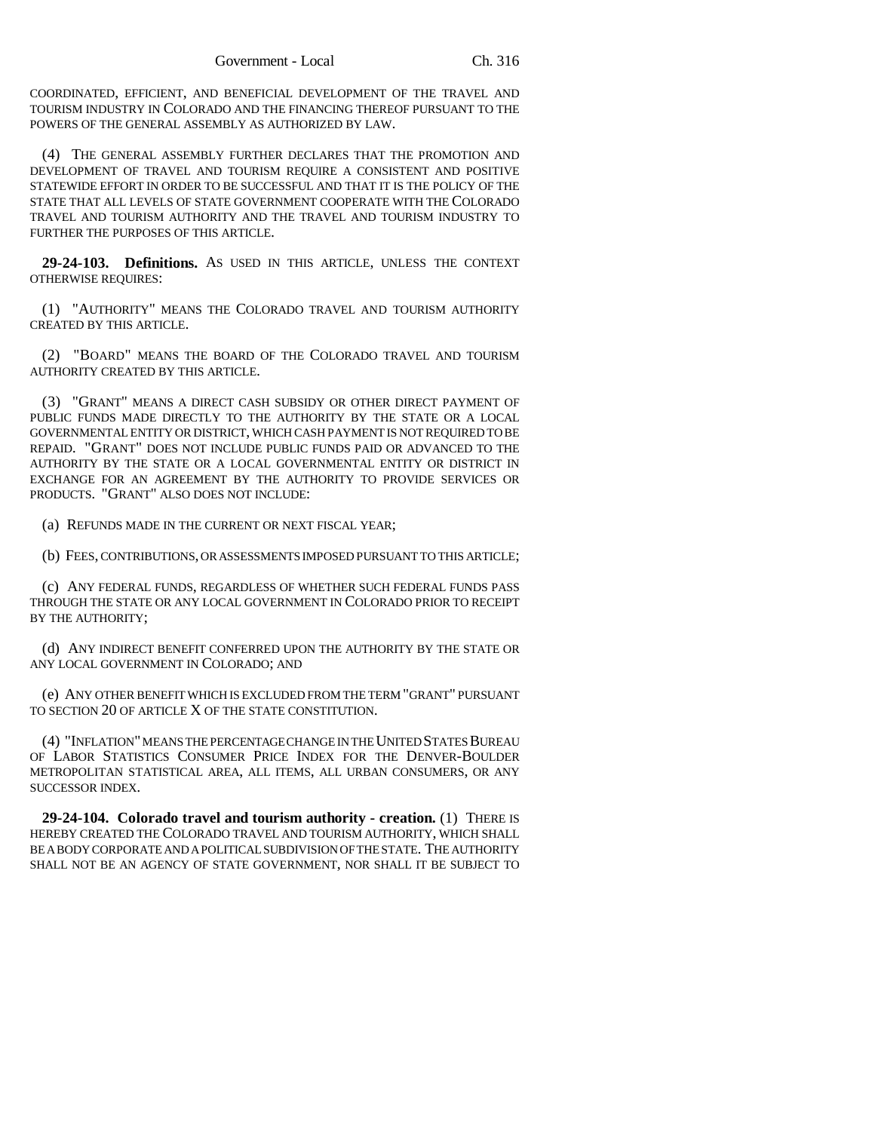COORDINATED, EFFICIENT, AND BENEFICIAL DEVELOPMENT OF THE TRAVEL AND TOURISM INDUSTRY IN COLORADO AND THE FINANCING THEREOF PURSUANT TO THE POWERS OF THE GENERAL ASSEMBLY AS AUTHORIZED BY LAW.

(4) THE GENERAL ASSEMBLY FURTHER DECLARES THAT THE PROMOTION AND DEVELOPMENT OF TRAVEL AND TOURISM REQUIRE A CONSISTENT AND POSITIVE STATEWIDE EFFORT IN ORDER TO BE SUCCESSFUL AND THAT IT IS THE POLICY OF THE STATE THAT ALL LEVELS OF STATE GOVERNMENT COOPERATE WITH THE COLORADO TRAVEL AND TOURISM AUTHORITY AND THE TRAVEL AND TOURISM INDUSTRY TO FURTHER THE PURPOSES OF THIS ARTICLE.

**29-24-103. Definitions.** AS USED IN THIS ARTICLE, UNLESS THE CONTEXT OTHERWISE REQUIRES:

(1) "AUTHORITY" MEANS THE COLORADO TRAVEL AND TOURISM AUTHORITY CREATED BY THIS ARTICLE.

(2) "BOARD" MEANS THE BOARD OF THE COLORADO TRAVEL AND TOURISM AUTHORITY CREATED BY THIS ARTICLE.

(3) "GRANT" MEANS A DIRECT CASH SUBSIDY OR OTHER DIRECT PAYMENT OF PUBLIC FUNDS MADE DIRECTLY TO THE AUTHORITY BY THE STATE OR A LOCAL GOVERNMENTAL ENTITY OR DISTRICT, WHICH CASH PAYMENT IS NOT REQUIRED TO BE REPAID. "GRANT" DOES NOT INCLUDE PUBLIC FUNDS PAID OR ADVANCED TO THE AUTHORITY BY THE STATE OR A LOCAL GOVERNMENTAL ENTITY OR DISTRICT IN EXCHANGE FOR AN AGREEMENT BY THE AUTHORITY TO PROVIDE SERVICES OR PRODUCTS. "GRANT" ALSO DOES NOT INCLUDE:

(a) REFUNDS MADE IN THE CURRENT OR NEXT FISCAL YEAR;

(b) FEES, CONTRIBUTIONS, OR ASSESSMENTS IMPOSED PURSUANT TO THIS ARTICLE;

(c) ANY FEDERAL FUNDS, REGARDLESS OF WHETHER SUCH FEDERAL FUNDS PASS THROUGH THE STATE OR ANY LOCAL GOVERNMENT IN COLORADO PRIOR TO RECEIPT BY THE AUTHORITY;

(d) ANY INDIRECT BENEFIT CONFERRED UPON THE AUTHORITY BY THE STATE OR ANY LOCAL GOVERNMENT IN COLORADO; AND

(e) ANY OTHER BENEFIT WHICH IS EXCLUDED FROM THE TERM "GRANT" PURSUANT TO SECTION 20 OF ARTICLE X OF THE STATE CONSTITUTION.

(4) "INFLATION" MEANS THE PERCENTAGE CHANGE IN THE UNITED STATES BUREAU OF LABOR STATISTICS CONSUMER PRICE INDEX FOR THE DENVER-BOULDER METROPOLITAN STATISTICAL AREA, ALL ITEMS, ALL URBAN CONSUMERS, OR ANY SUCCESSOR INDEX.

**29-24-104. Colorado travel and tourism authority - creation.** (1) THERE IS HEREBY CREATED THE COLORADO TRAVEL AND TOURISM AUTHORITY, WHICH SHALL BE A BODY CORPORATE AND A POLITICAL SUBDIVISION OF THE STATE. THE AUTHORITY SHALL NOT BE AN AGENCY OF STATE GOVERNMENT, NOR SHALL IT BE SUBJECT TO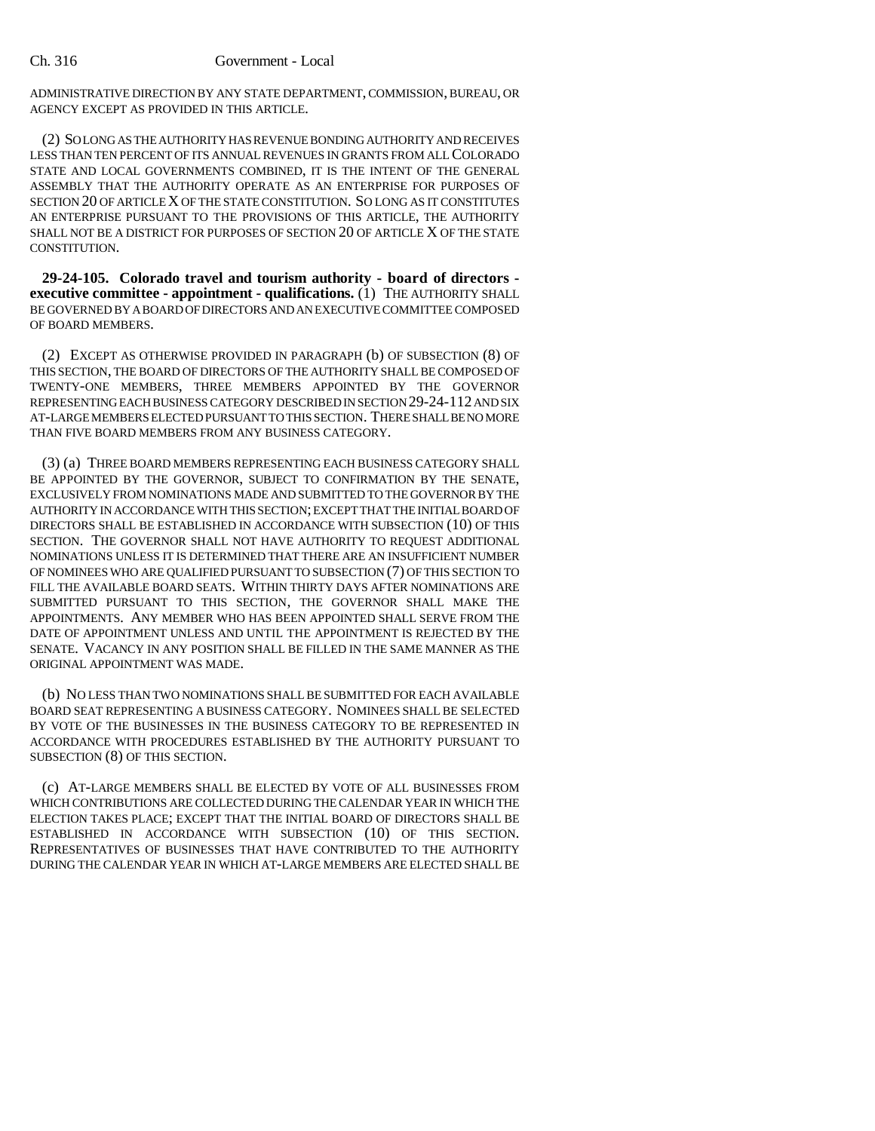ADMINISTRATIVE DIRECTION BY ANY STATE DEPARTMENT, COMMISSION, BUREAU, OR AGENCY EXCEPT AS PROVIDED IN THIS ARTICLE.

(2) SO LONG AS THE AUTHORITY HAS REVENUE BONDING AUTHORITY AND RECEIVES LESS THAN TEN PERCENT OF ITS ANNUAL REVENUES IN GRANTS FROM ALL COLORADO STATE AND LOCAL GOVERNMENTS COMBINED, IT IS THE INTENT OF THE GENERAL ASSEMBLY THAT THE AUTHORITY OPERATE AS AN ENTERPRISE FOR PURPOSES OF SECTION 20 OF ARTICLE X OF THE STATE CONSTITUTION. SO LONG AS IT CONSTITUTES AN ENTERPRISE PURSUANT TO THE PROVISIONS OF THIS ARTICLE, THE AUTHORITY SHALL NOT BE A DISTRICT FOR PURPOSES OF SECTION 20 OF ARTICLE X OF THE STATE CONSTITUTION.

**29-24-105. Colorado travel and tourism authority - board of directors executive committee - appointment - qualifications.** (1) THE AUTHORITY SHALL BE GOVERNED BY A BOARD OF DIRECTORS AND AN EXECUTIVE COMMITTEE COMPOSED OF BOARD MEMBERS.

(2) EXCEPT AS OTHERWISE PROVIDED IN PARAGRAPH (b) OF SUBSECTION (8) OF THIS SECTION, THE BOARD OF DIRECTORS OF THE AUTHORITY SHALL BE COMPOSED OF TWENTY-ONE MEMBERS, THREE MEMBERS APPOINTED BY THE GOVERNOR REPRESENTING EACH BUSINESS CATEGORY DESCRIBED IN SECTION 29-24-112 AND SIX AT-LARGE MEMBERS ELECTED PURSUANT TO THIS SECTION. THERE SHALL BE NO MORE THAN FIVE BOARD MEMBERS FROM ANY BUSINESS CATEGORY.

(3) (a) THREE BOARD MEMBERS REPRESENTING EACH BUSINESS CATEGORY SHALL BE APPOINTED BY THE GOVERNOR, SUBJECT TO CONFIRMATION BY THE SENATE, EXCLUSIVELY FROM NOMINATIONS MADE AND SUBMITTED TO THE GOVERNOR BY THE AUTHORITY IN ACCORDANCE WITH THIS SECTION; EXCEPT THAT THE INITIAL BOARD OF DIRECTORS SHALL BE ESTABLISHED IN ACCORDANCE WITH SUBSECTION (10) OF THIS SECTION. THE GOVERNOR SHALL NOT HAVE AUTHORITY TO REQUEST ADDITIONAL NOMINATIONS UNLESS IT IS DETERMINED THAT THERE ARE AN INSUFFICIENT NUMBER OF NOMINEES WHO ARE QUALIFIED PURSUANT TO SUBSECTION (7) OF THIS SECTION TO FILL THE AVAILABLE BOARD SEATS. WITHIN THIRTY DAYS AFTER NOMINATIONS ARE SUBMITTED PURSUANT TO THIS SECTION, THE GOVERNOR SHALL MAKE THE APPOINTMENTS. ANY MEMBER WHO HAS BEEN APPOINTED SHALL SERVE FROM THE DATE OF APPOINTMENT UNLESS AND UNTIL THE APPOINTMENT IS REJECTED BY THE SENATE. VACANCY IN ANY POSITION SHALL BE FILLED IN THE SAME MANNER AS THE ORIGINAL APPOINTMENT WAS MADE.

(b) NO LESS THAN TWO NOMINATIONS SHALL BE SUBMITTED FOR EACH AVAILABLE BOARD SEAT REPRESENTING A BUSINESS CATEGORY. NOMINEES SHALL BE SELECTED BY VOTE OF THE BUSINESSES IN THE BUSINESS CATEGORY TO BE REPRESENTED IN ACCORDANCE WITH PROCEDURES ESTABLISHED BY THE AUTHORITY PURSUANT TO SUBSECTION (8) OF THIS SECTION.

(c) AT-LARGE MEMBERS SHALL BE ELECTED BY VOTE OF ALL BUSINESSES FROM WHICH CONTRIBUTIONS ARE COLLECTED DURING THE CALENDAR YEAR IN WHICH THE ELECTION TAKES PLACE; EXCEPT THAT THE INITIAL BOARD OF DIRECTORS SHALL BE ESTABLISHED IN ACCORDANCE WITH SUBSECTION (10) OF THIS SECTION. REPRESENTATIVES OF BUSINESSES THAT HAVE CONTRIBUTED TO THE AUTHORITY DURING THE CALENDAR YEAR IN WHICH AT-LARGE MEMBERS ARE ELECTED SHALL BE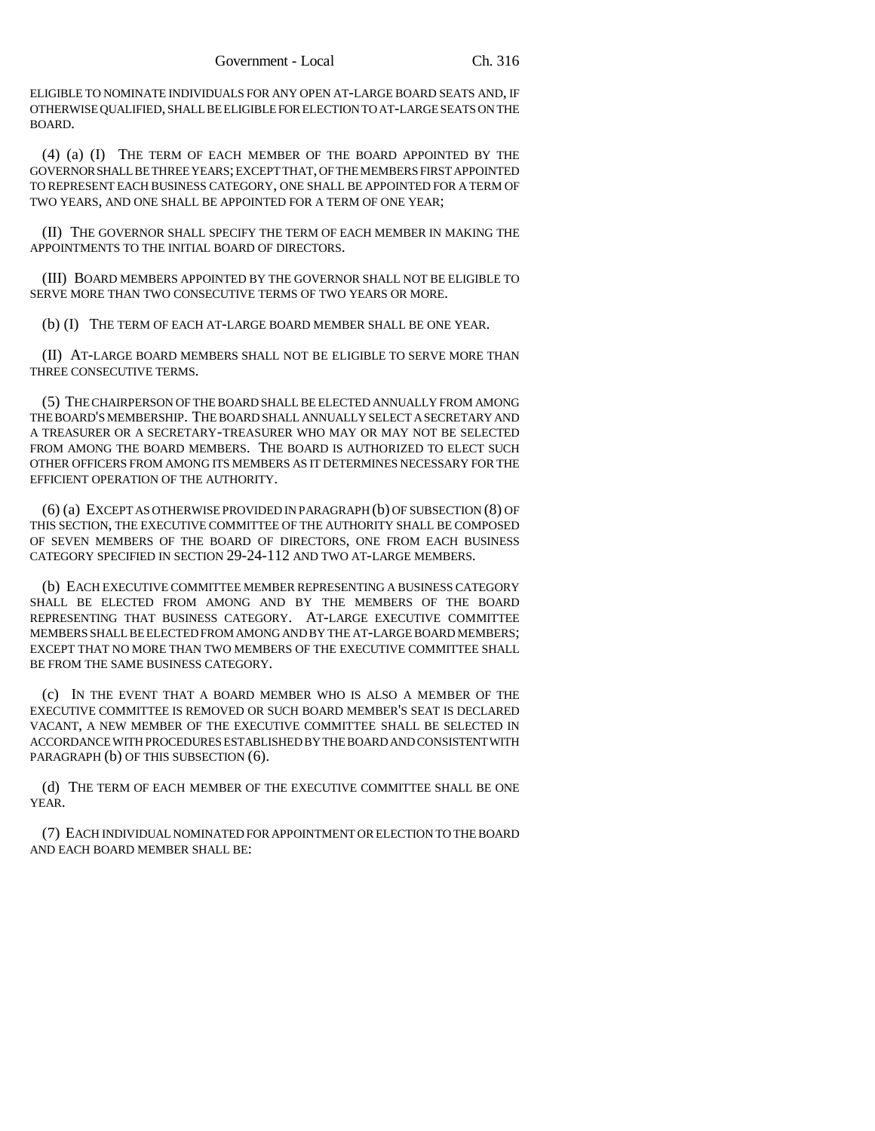ELIGIBLE TO NOMINATE INDIVIDUALS FOR ANY OPEN AT-LARGE BOARD SEATS AND, IF OTHERWISE QUALIFIED, SHALL BE ELIGIBLE FOR ELECTION TO AT-LARGE SEATS ON THE BOARD.

(4) (a) (I) THE TERM OF EACH MEMBER OF THE BOARD APPOINTED BY THE GOVERNOR SHALL BE THREE YEARS; EXCEPT THAT, OF THE MEMBERS FIRST APPOINTED TO REPRESENT EACH BUSINESS CATEGORY, ONE SHALL BE APPOINTED FOR A TERM OF TWO YEARS, AND ONE SHALL BE APPOINTED FOR A TERM OF ONE YEAR;

(II) THE GOVERNOR SHALL SPECIFY THE TERM OF EACH MEMBER IN MAKING THE APPOINTMENTS TO THE INITIAL BOARD OF DIRECTORS.

(III) BOARD MEMBERS APPOINTED BY THE GOVERNOR SHALL NOT BE ELIGIBLE TO SERVE MORE THAN TWO CONSECUTIVE TERMS OF TWO YEARS OR MORE.

(b) (I) THE TERM OF EACH AT-LARGE BOARD MEMBER SHALL BE ONE YEAR.

(II) AT-LARGE BOARD MEMBERS SHALL NOT BE ELIGIBLE TO SERVE MORE THAN THREE CONSECUTIVE TERMS.

(5) THE CHAIRPERSON OF THE BOARD SHALL BE ELECTED ANNUALLY FROM AMONG THE BOARD'S MEMBERSHIP. THE BOARD SHALL ANNUALLY SELECT A SECRETARY AND A TREASURER OR A SECRETARY-TREASURER WHO MAY OR MAY NOT BE SELECTED FROM AMONG THE BOARD MEMBERS. THE BOARD IS AUTHORIZED TO ELECT SUCH OTHER OFFICERS FROM AMONG ITS MEMBERS AS IT DETERMINES NECESSARY FOR THE EFFICIENT OPERATION OF THE AUTHORITY.

(6) (a) EXCEPT AS OTHERWISE PROVIDED IN PARAGRAPH (b) OF SUBSECTION (8) OF THIS SECTION, THE EXECUTIVE COMMITTEE OF THE AUTHORITY SHALL BE COMPOSED OF SEVEN MEMBERS OF THE BOARD OF DIRECTORS, ONE FROM EACH BUSINESS CATEGORY SPECIFIED IN SECTION 29-24-112 AND TWO AT-LARGE MEMBERS.

(b) EACH EXECUTIVE COMMITTEE MEMBER REPRESENTING A BUSINESS CATEGORY SHALL BE ELECTED FROM AMONG AND BY THE MEMBERS OF THE BOARD REPRESENTING THAT BUSINESS CATEGORY. AT-LARGE EXECUTIVE COMMITTEE MEMBERS SHALL BE ELECTED FROM AMONG AND BY THE AT-LARGE BOARD MEMBERS; EXCEPT THAT NO MORE THAN TWO MEMBERS OF THE EXECUTIVE COMMITTEE SHALL BE FROM THE SAME BUSINESS CATEGORY.

(c) IN THE EVENT THAT A BOARD MEMBER WHO IS ALSO A MEMBER OF THE EXECUTIVE COMMITTEE IS REMOVED OR SUCH BOARD MEMBER'S SEAT IS DECLARED VACANT, A NEW MEMBER OF THE EXECUTIVE COMMITTEE SHALL BE SELECTED IN ACCORDANCE WITH PROCEDURES ESTABLISHED BY THE BOARD AND CONSISTENT WITH PARAGRAPH (b) OF THIS SUBSECTION (6).

(d) THE TERM OF EACH MEMBER OF THE EXECUTIVE COMMITTEE SHALL BE ONE YEAR.

(7) EACH INDIVIDUAL NOMINATED FOR APPOINTMENT OR ELECTION TO THE BOARD AND EACH BOARD MEMBER SHALL BE: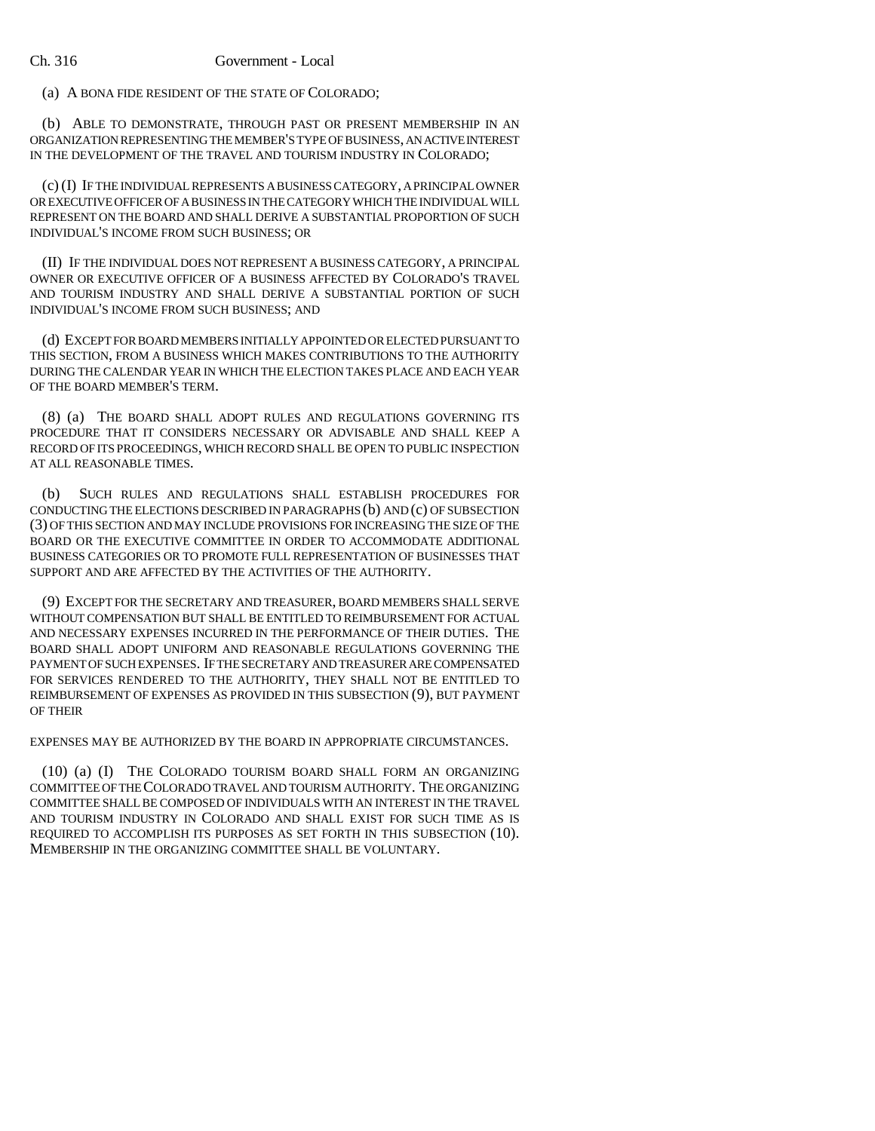(a) A BONA FIDE RESIDENT OF THE STATE OF COLORADO;

(b) ABLE TO DEMONSTRATE, THROUGH PAST OR PRESENT MEMBERSHIP IN AN ORGANIZATION REPRESENTING THE MEMBER'S TYPE OF BUSINESS, AN ACTIVE INTEREST IN THE DEVELOPMENT OF THE TRAVEL AND TOURISM INDUSTRY IN COLORADO;

(c) (I) IF THE INDIVIDUAL REPRESENTS A BUSINESS CATEGORY, A PRINCIPAL OWNER OR EXECUTIVE OFFICER OF A BUSINESS IN THE CATEGORY WHICH THE INDIVIDUAL WILL REPRESENT ON THE BOARD AND SHALL DERIVE A SUBSTANTIAL PROPORTION OF SUCH INDIVIDUAL'S INCOME FROM SUCH BUSINESS; OR

(II) IF THE INDIVIDUAL DOES NOT REPRESENT A BUSINESS CATEGORY, A PRINCIPAL OWNER OR EXECUTIVE OFFICER OF A BUSINESS AFFECTED BY COLORADO'S TRAVEL AND TOURISM INDUSTRY AND SHALL DERIVE A SUBSTANTIAL PORTION OF SUCH INDIVIDUAL'S INCOME FROM SUCH BUSINESS; AND

(d) EXCEPT FOR BOARD MEMBERS INITIALLY APPOINTED OR ELECTED PURSUANT TO THIS SECTION, FROM A BUSINESS WHICH MAKES CONTRIBUTIONS TO THE AUTHORITY DURING THE CALENDAR YEAR IN WHICH THE ELECTION TAKES PLACE AND EACH YEAR OF THE BOARD MEMBER'S TERM.

(8) (a) THE BOARD SHALL ADOPT RULES AND REGULATIONS GOVERNING ITS PROCEDURE THAT IT CONSIDERS NECESSARY OR ADVISABLE AND SHALL KEEP A RECORD OF ITS PROCEEDINGS, WHICH RECORD SHALL BE OPEN TO PUBLIC INSPECTION AT ALL REASONABLE TIMES.

(b) SUCH RULES AND REGULATIONS SHALL ESTABLISH PROCEDURES FOR CONDUCTING THE ELECTIONS DESCRIBED IN PARAGRAPHS (b) AND (c) OF SUBSECTION (3) OF THIS SECTION AND MAY INCLUDE PROVISIONS FOR INCREASING THE SIZE OF THE BOARD OR THE EXECUTIVE COMMITTEE IN ORDER TO ACCOMMODATE ADDITIONAL BUSINESS CATEGORIES OR TO PROMOTE FULL REPRESENTATION OF BUSINESSES THAT SUPPORT AND ARE AFFECTED BY THE ACTIVITIES OF THE AUTHORITY.

(9) EXCEPT FOR THE SECRETARY AND TREASURER, BOARD MEMBERS SHALL SERVE WITHOUT COMPENSATION BUT SHALL BE ENTITLED TO REIMBURSEMENT FOR ACTUAL AND NECESSARY EXPENSES INCURRED IN THE PERFORMANCE OF THEIR DUTIES. THE BOARD SHALL ADOPT UNIFORM AND REASONABLE REGULATIONS GOVERNING THE PAYMENT OF SUCH EXPENSES. IF THE SECRETARY AND TREASURER ARE COMPENSATED FOR SERVICES RENDERED TO THE AUTHORITY, THEY SHALL NOT BE ENTITLED TO REIMBURSEMENT OF EXPENSES AS PROVIDED IN THIS SUBSECTION (9), BUT PAYMENT OF THEIR

EXPENSES MAY BE AUTHORIZED BY THE BOARD IN APPROPRIATE CIRCUMSTANCES.

(10) (a) (I) THE COLORADO TOURISM BOARD SHALL FORM AN ORGANIZING COMMITTEE OF THE COLORADO TRAVEL AND TOURISM AUTHORITY. THE ORGANIZING COMMITTEE SHALL BE COMPOSED OF INDIVIDUALS WITH AN INTEREST IN THE TRAVEL AND TOURISM INDUSTRY IN COLORADO AND SHALL EXIST FOR SUCH TIME AS IS REQUIRED TO ACCOMPLISH ITS PURPOSES AS SET FORTH IN THIS SUBSECTION (10). MEMBERSHIP IN THE ORGANIZING COMMITTEE SHALL BE VOLUNTARY.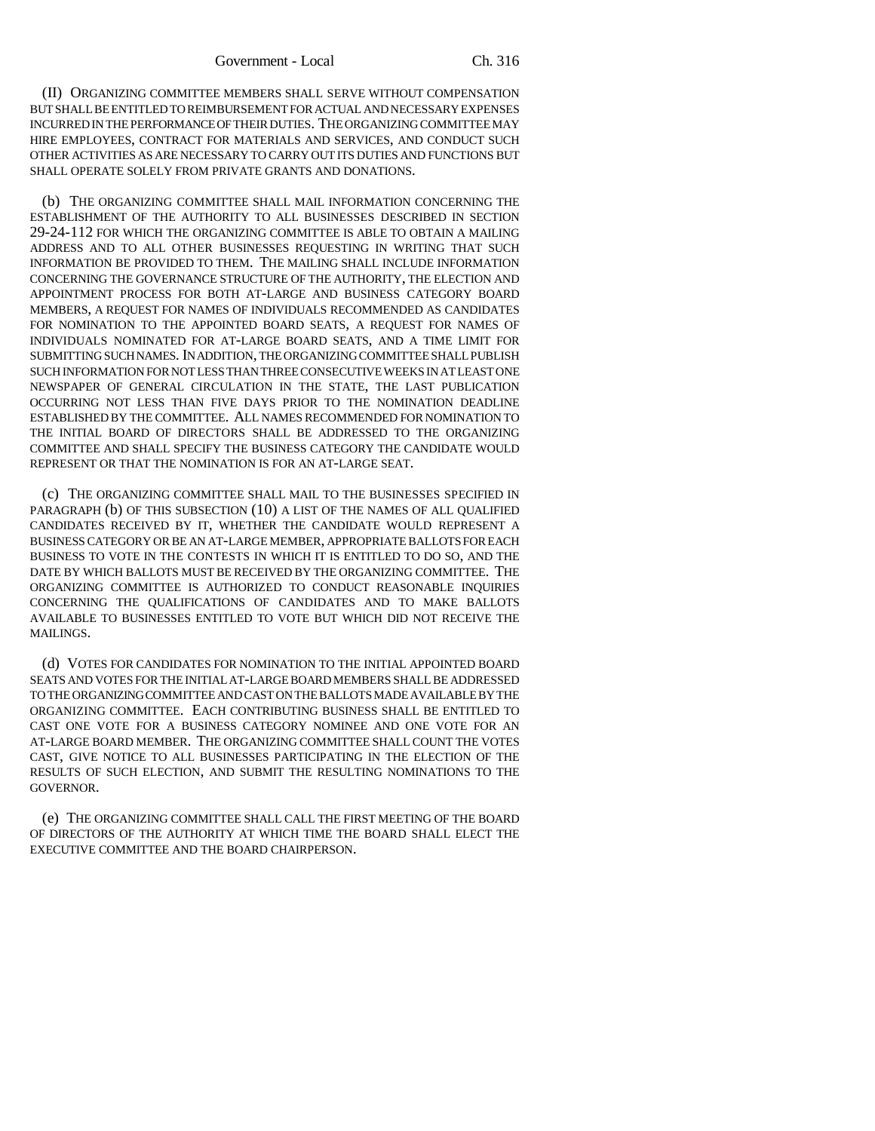(II) ORGANIZING COMMITTEE MEMBERS SHALL SERVE WITHOUT COMPENSATION BUT SHALL BE ENTITLED TO REIMBURSEMENT FOR ACTUAL AND NECESSARY EXPENSES INCURRED IN THE PERFORMANCE OF THEIR DUTIES. THE ORGANIZING COMMITTEE MAY HIRE EMPLOYEES, CONTRACT FOR MATERIALS AND SERVICES, AND CONDUCT SUCH OTHER ACTIVITIES AS ARE NECESSARY TO CARRY OUT ITS DUTIES AND FUNCTIONS BUT SHALL OPERATE SOLELY FROM PRIVATE GRANTS AND DONATIONS.

(b) THE ORGANIZING COMMITTEE SHALL MAIL INFORMATION CONCERNING THE ESTABLISHMENT OF THE AUTHORITY TO ALL BUSINESSES DESCRIBED IN SECTION 29-24-112 FOR WHICH THE ORGANIZING COMMITTEE IS ABLE TO OBTAIN A MAILING ADDRESS AND TO ALL OTHER BUSINESSES REQUESTING IN WRITING THAT SUCH INFORMATION BE PROVIDED TO THEM. THE MAILING SHALL INCLUDE INFORMATION CONCERNING THE GOVERNANCE STRUCTURE OF THE AUTHORITY, THE ELECTION AND APPOINTMENT PROCESS FOR BOTH AT-LARGE AND BUSINESS CATEGORY BOARD MEMBERS, A REQUEST FOR NAMES OF INDIVIDUALS RECOMMENDED AS CANDIDATES FOR NOMINATION TO THE APPOINTED BOARD SEATS, A REQUEST FOR NAMES OF INDIVIDUALS NOMINATED FOR AT-LARGE BOARD SEATS, AND A TIME LIMIT FOR SUBMITTING SUCH NAMES. IN ADDITION, THE ORGANIZING COMMITTEE SHALL PUBLISH SUCH INFORMATION FOR NOT LESS THAN THREE CONSECUTIVE WEEKS IN AT LEAST ONE NEWSPAPER OF GENERAL CIRCULATION IN THE STATE, THE LAST PUBLICATION OCCURRING NOT LESS THAN FIVE DAYS PRIOR TO THE NOMINATION DEADLINE ESTABLISHED BY THE COMMITTEE. ALL NAMES RECOMMENDED FOR NOMINATION TO THE INITIAL BOARD OF DIRECTORS SHALL BE ADDRESSED TO THE ORGANIZING COMMITTEE AND SHALL SPECIFY THE BUSINESS CATEGORY THE CANDIDATE WOULD REPRESENT OR THAT THE NOMINATION IS FOR AN AT-LARGE SEAT.

(c) THE ORGANIZING COMMITTEE SHALL MAIL TO THE BUSINESSES SPECIFIED IN PARAGRAPH (b) OF THIS SUBSECTION (10) A LIST OF THE NAMES OF ALL QUALIFIED CANDIDATES RECEIVED BY IT, WHETHER THE CANDIDATE WOULD REPRESENT A BUSINESS CATEGORY OR BE AN AT-LARGE MEMBER, APPROPRIATE BALLOTS FOR EACH BUSINESS TO VOTE IN THE CONTESTS IN WHICH IT IS ENTITLED TO DO SO, AND THE DATE BY WHICH BALLOTS MUST BE RECEIVED BY THE ORGANIZING COMMITTEE. THE ORGANIZING COMMITTEE IS AUTHORIZED TO CONDUCT REASONABLE INQUIRIES CONCERNING THE QUALIFICATIONS OF CANDIDATES AND TO MAKE BALLOTS AVAILABLE TO BUSINESSES ENTITLED TO VOTE BUT WHICH DID NOT RECEIVE THE MAILINGS.

(d) VOTES FOR CANDIDATES FOR NOMINATION TO THE INITIAL APPOINTED BOARD SEATS AND VOTES FOR THE INITIAL AT-LARGE BOARD MEMBERS SHALL BE ADDRESSED TO THE ORGANIZING COMMITTEE AND CAST ON THE BALLOTS MADE AVAILABLE BY THE ORGANIZING COMMITTEE. EACH CONTRIBUTING BUSINESS SHALL BE ENTITLED TO CAST ONE VOTE FOR A BUSINESS CATEGORY NOMINEE AND ONE VOTE FOR AN AT-LARGE BOARD MEMBER. THE ORGANIZING COMMITTEE SHALL COUNT THE VOTES CAST, GIVE NOTICE TO ALL BUSINESSES PARTICIPATING IN THE ELECTION OF THE RESULTS OF SUCH ELECTION, AND SUBMIT THE RESULTING NOMINATIONS TO THE GOVERNOR.

(e) THE ORGANIZING COMMITTEE SHALL CALL THE FIRST MEETING OF THE BOARD OF DIRECTORS OF THE AUTHORITY AT WHICH TIME THE BOARD SHALL ELECT THE EXECUTIVE COMMITTEE AND THE BOARD CHAIRPERSON.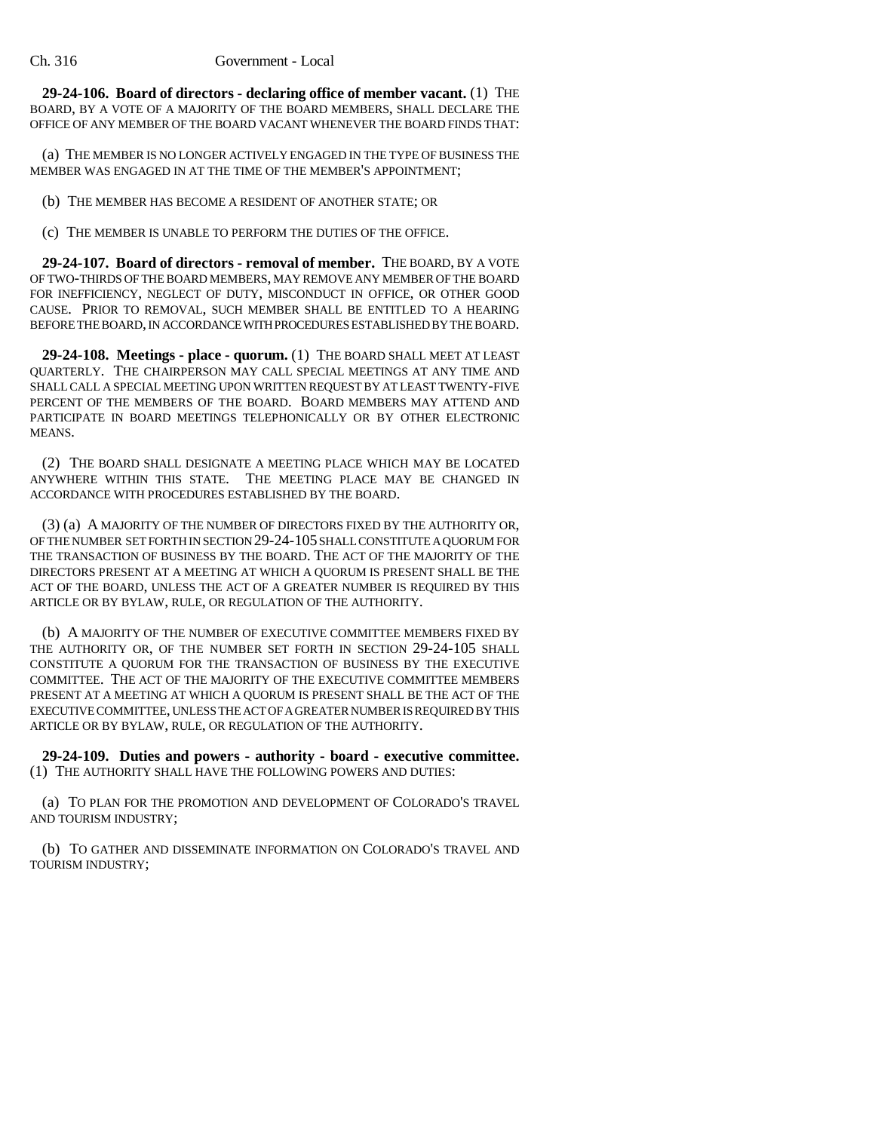**29-24-106. Board of directors - declaring office of member vacant.** (1) THE BOARD, BY A VOTE OF A MAJORITY OF THE BOARD MEMBERS, SHALL DECLARE THE OFFICE OF ANY MEMBER OF THE BOARD VACANT WHENEVER THE BOARD FINDS THAT:

(a) THE MEMBER IS NO LONGER ACTIVELY ENGAGED IN THE TYPE OF BUSINESS THE MEMBER WAS ENGAGED IN AT THE TIME OF THE MEMBER'S APPOINTMENT;

(b) THE MEMBER HAS BECOME A RESIDENT OF ANOTHER STATE; OR

(c) THE MEMBER IS UNABLE TO PERFORM THE DUTIES OF THE OFFICE.

**29-24-107. Board of directors - removal of member.** THE BOARD, BY A VOTE OF TWO-THIRDS OF THE BOARD MEMBERS, MAY REMOVE ANY MEMBER OF THE BOARD FOR INEFFICIENCY, NEGLECT OF DUTY, MISCONDUCT IN OFFICE, OR OTHER GOOD CAUSE. PRIOR TO REMOVAL, SUCH MEMBER SHALL BE ENTITLED TO A HEARING BEFORE THE BOARD, IN ACCORDANCE WITH PROCEDURES ESTABLISHED BY THE BOARD.

**29-24-108. Meetings - place - quorum.** (1) THE BOARD SHALL MEET AT LEAST QUARTERLY. THE CHAIRPERSON MAY CALL SPECIAL MEETINGS AT ANY TIME AND SHALL CALL A SPECIAL MEETING UPON WRITTEN REQUEST BY AT LEAST TWENTY-FIVE PERCENT OF THE MEMBERS OF THE BOARD. BOARD MEMBERS MAY ATTEND AND PARTICIPATE IN BOARD MEETINGS TELEPHONICALLY OR BY OTHER ELECTRONIC MEANS.

(2) THE BOARD SHALL DESIGNATE A MEETING PLACE WHICH MAY BE LOCATED ANYWHERE WITHIN THIS STATE. THE MEETING PLACE MAY BE CHANGED IN ACCORDANCE WITH PROCEDURES ESTABLISHED BY THE BOARD.

(3) (a) A MAJORITY OF THE NUMBER OF DIRECTORS FIXED BY THE AUTHORITY OR, OF THE NUMBER SET FORTH IN SECTION 29-24-105 SHALL CONSTITUTE A QUORUM FOR THE TRANSACTION OF BUSINESS BY THE BOARD. THE ACT OF THE MAJORITY OF THE DIRECTORS PRESENT AT A MEETING AT WHICH A QUORUM IS PRESENT SHALL BE THE ACT OF THE BOARD, UNLESS THE ACT OF A GREATER NUMBER IS REQUIRED BY THIS ARTICLE OR BY BYLAW, RULE, OR REGULATION OF THE AUTHORITY.

(b) A MAJORITY OF THE NUMBER OF EXECUTIVE COMMITTEE MEMBERS FIXED BY THE AUTHORITY OR, OF THE NUMBER SET FORTH IN SECTION 29-24-105 SHALL CONSTITUTE A QUORUM FOR THE TRANSACTION OF BUSINESS BY THE EXECUTIVE COMMITTEE. THE ACT OF THE MAJORITY OF THE EXECUTIVE COMMITTEE MEMBERS PRESENT AT A MEETING AT WHICH A QUORUM IS PRESENT SHALL BE THE ACT OF THE EXECUTIVE COMMITTEE, UNLESS THE ACT OF A GREATER NUMBER IS REQUIRED BY THIS ARTICLE OR BY BYLAW, RULE, OR REGULATION OF THE AUTHORITY.

**29-24-109. Duties and powers - authority - board - executive committee.** (1) THE AUTHORITY SHALL HAVE THE FOLLOWING POWERS AND DUTIES:

(a) TO PLAN FOR THE PROMOTION AND DEVELOPMENT OF COLORADO'S TRAVEL AND TOURISM INDUSTRY;

(b) TO GATHER AND DISSEMINATE INFORMATION ON COLORADO'S TRAVEL AND TOURISM INDUSTRY;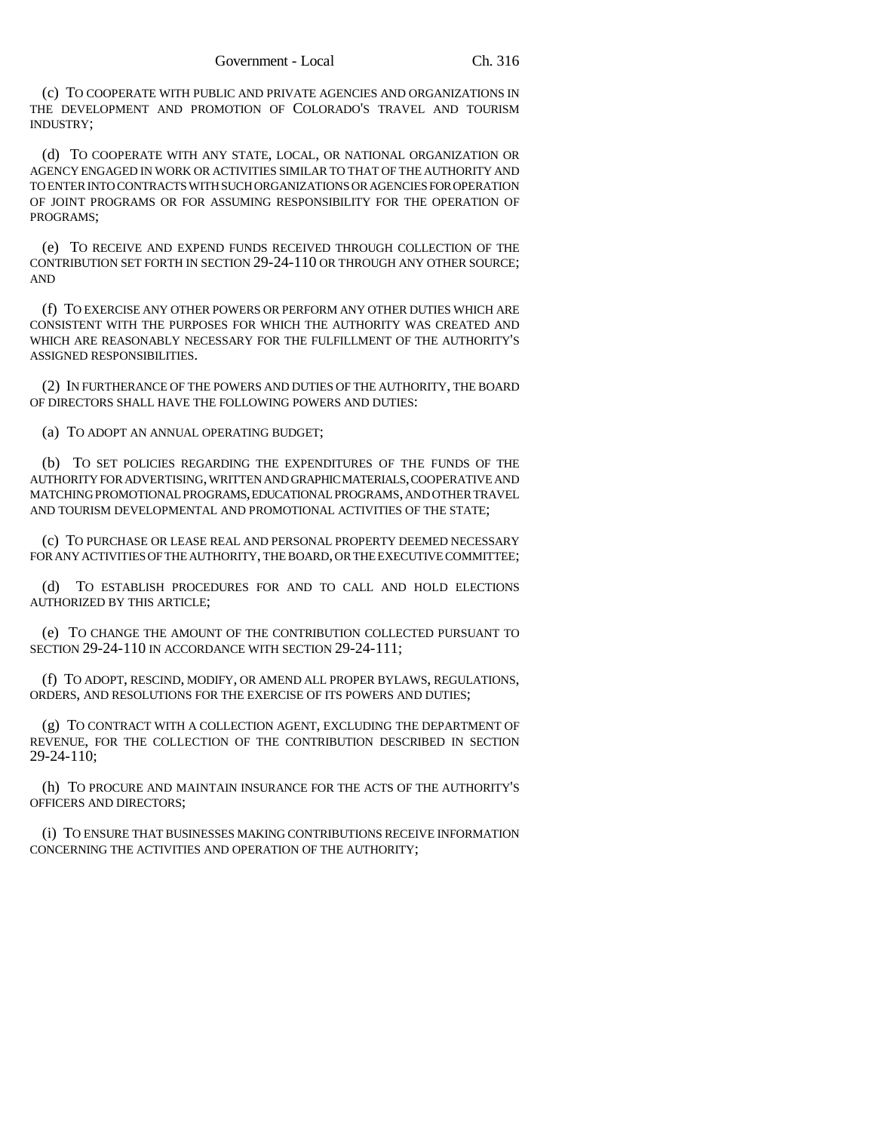(c) TO COOPERATE WITH PUBLIC AND PRIVATE AGENCIES AND ORGANIZATIONS IN THE DEVELOPMENT AND PROMOTION OF COLORADO'S TRAVEL AND TOURISM INDUSTRY;

(d) TO COOPERATE WITH ANY STATE, LOCAL, OR NATIONAL ORGANIZATION OR AGENCY ENGAGED IN WORK OR ACTIVITIES SIMILAR TO THAT OF THE AUTHORITY AND TO ENTER INTO CONTRACTS WITH SUCH ORGANIZATIONS OR AGENCIES FOR OPERATION OF JOINT PROGRAMS OR FOR ASSUMING RESPONSIBILITY FOR THE OPERATION OF PROGRAMS;

(e) TO RECEIVE AND EXPEND FUNDS RECEIVED THROUGH COLLECTION OF THE CONTRIBUTION SET FORTH IN SECTION 29-24-110 OR THROUGH ANY OTHER SOURCE; AND

(f) TO EXERCISE ANY OTHER POWERS OR PERFORM ANY OTHER DUTIES WHICH ARE CONSISTENT WITH THE PURPOSES FOR WHICH THE AUTHORITY WAS CREATED AND WHICH ARE REASONABLY NECESSARY FOR THE FULFILLMENT OF THE AUTHORITY'S ASSIGNED RESPONSIBILITIES.

(2) IN FURTHERANCE OF THE POWERS AND DUTIES OF THE AUTHORITY, THE BOARD OF DIRECTORS SHALL HAVE THE FOLLOWING POWERS AND DUTIES:

(a) TO ADOPT AN ANNUAL OPERATING BUDGET;

(b) TO SET POLICIES REGARDING THE EXPENDITURES OF THE FUNDS OF THE AUTHORITY FOR ADVERTISING, WRITTEN AND GRAPHIC MATERIALS, COOPERATIVE AND MATCHING PROMOTIONAL PROGRAMS, EDUCATIONAL PROGRAMS, AND OTHER TRAVEL AND TOURISM DEVELOPMENTAL AND PROMOTIONAL ACTIVITIES OF THE STATE;

(c) TO PURCHASE OR LEASE REAL AND PERSONAL PROPERTY DEEMED NECESSARY FOR ANY ACTIVITIES OF THE AUTHORITY, THE BOARD, OR THE EXECUTIVE COMMITTEE;

(d) TO ESTABLISH PROCEDURES FOR AND TO CALL AND HOLD ELECTIONS AUTHORIZED BY THIS ARTICLE;

(e) TO CHANGE THE AMOUNT OF THE CONTRIBUTION COLLECTED PURSUANT TO SECTION 29-24-110 IN ACCORDANCE WITH SECTION 29-24-111;

(f) TO ADOPT, RESCIND, MODIFY, OR AMEND ALL PROPER BYLAWS, REGULATIONS, ORDERS, AND RESOLUTIONS FOR THE EXERCISE OF ITS POWERS AND DUTIES;

(g) TO CONTRACT WITH A COLLECTION AGENT, EXCLUDING THE DEPARTMENT OF REVENUE, FOR THE COLLECTION OF THE CONTRIBUTION DESCRIBED IN SECTION 29-24-110;

(h) TO PROCURE AND MAINTAIN INSURANCE FOR THE ACTS OF THE AUTHORITY'S OFFICERS AND DIRECTORS;

(i) TO ENSURE THAT BUSINESSES MAKING CONTRIBUTIONS RECEIVE INFORMATION CONCERNING THE ACTIVITIES AND OPERATION OF THE AUTHORITY;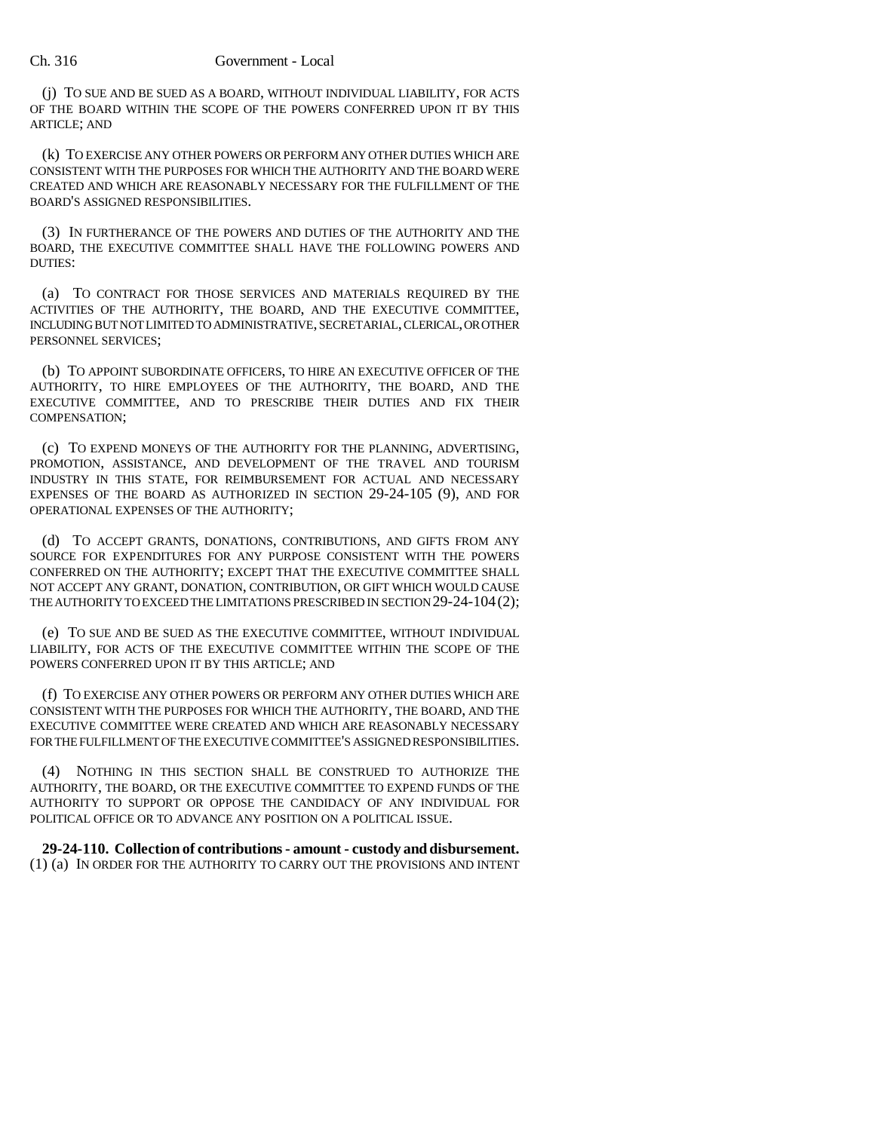(j) TO SUE AND BE SUED AS A BOARD, WITHOUT INDIVIDUAL LIABILITY, FOR ACTS OF THE BOARD WITHIN THE SCOPE OF THE POWERS CONFERRED UPON IT BY THIS ARTICLE; AND

(k) TO EXERCISE ANY OTHER POWERS OR PERFORM ANY OTHER DUTIES WHICH ARE CONSISTENT WITH THE PURPOSES FOR WHICH THE AUTHORITY AND THE BOARD WERE CREATED AND WHICH ARE REASONABLY NECESSARY FOR THE FULFILLMENT OF THE BOARD'S ASSIGNED RESPONSIBILITIES.

(3) IN FURTHERANCE OF THE POWERS AND DUTIES OF THE AUTHORITY AND THE BOARD, THE EXECUTIVE COMMITTEE SHALL HAVE THE FOLLOWING POWERS AND DUTIES:

(a) TO CONTRACT FOR THOSE SERVICES AND MATERIALS REQUIRED BY THE ACTIVITIES OF THE AUTHORITY, THE BOARD, AND THE EXECUTIVE COMMITTEE, INCLUDING BUT NOT LIMITED TO ADMINISTRATIVE, SECRETARIAL, CLERICAL, OR OTHER PERSONNEL SERVICES;

(b) TO APPOINT SUBORDINATE OFFICERS, TO HIRE AN EXECUTIVE OFFICER OF THE AUTHORITY, TO HIRE EMPLOYEES OF THE AUTHORITY, THE BOARD, AND THE EXECUTIVE COMMITTEE, AND TO PRESCRIBE THEIR DUTIES AND FIX THEIR COMPENSATION;

(c) TO EXPEND MONEYS OF THE AUTHORITY FOR THE PLANNING, ADVERTISING, PROMOTION, ASSISTANCE, AND DEVELOPMENT OF THE TRAVEL AND TOURISM INDUSTRY IN THIS STATE, FOR REIMBURSEMENT FOR ACTUAL AND NECESSARY EXPENSES OF THE BOARD AS AUTHORIZED IN SECTION 29-24-105 (9), AND FOR OPERATIONAL EXPENSES OF THE AUTHORITY;

(d) TO ACCEPT GRANTS, DONATIONS, CONTRIBUTIONS, AND GIFTS FROM ANY SOURCE FOR EXPENDITURES FOR ANY PURPOSE CONSISTENT WITH THE POWERS CONFERRED ON THE AUTHORITY; EXCEPT THAT THE EXECUTIVE COMMITTEE SHALL NOT ACCEPT ANY GRANT, DONATION, CONTRIBUTION, OR GIFT WHICH WOULD CAUSE THE AUTHORITY TO EXCEED THE LIMITATIONS PRESCRIBED IN SECTION 29-24-104 (2);

(e) TO SUE AND BE SUED AS THE EXECUTIVE COMMITTEE, WITHOUT INDIVIDUAL LIABILITY, FOR ACTS OF THE EXECUTIVE COMMITTEE WITHIN THE SCOPE OF THE POWERS CONFERRED UPON IT BY THIS ARTICLE; AND

(f) TO EXERCISE ANY OTHER POWERS OR PERFORM ANY OTHER DUTIES WHICH ARE CONSISTENT WITH THE PURPOSES FOR WHICH THE AUTHORITY, THE BOARD, AND THE EXECUTIVE COMMITTEE WERE CREATED AND WHICH ARE REASONABLY NECESSARY FOR THE FULFILLMENT OF THE EXECUTIVE COMMITTEE'S ASSIGNED RESPONSIBILITIES.

(4) NOTHING IN THIS SECTION SHALL BE CONSTRUED TO AUTHORIZE THE AUTHORITY, THE BOARD, OR THE EXECUTIVE COMMITTEE TO EXPEND FUNDS OF THE AUTHORITY TO SUPPORT OR OPPOSE THE CANDIDACY OF ANY INDIVIDUAL FOR POLITICAL OFFICE OR TO ADVANCE ANY POSITION ON A POLITICAL ISSUE.

**29-24-110. Collection of contributions - amount - custody and disbursement.** (1) (a) IN ORDER FOR THE AUTHORITY TO CARRY OUT THE PROVISIONS AND INTENT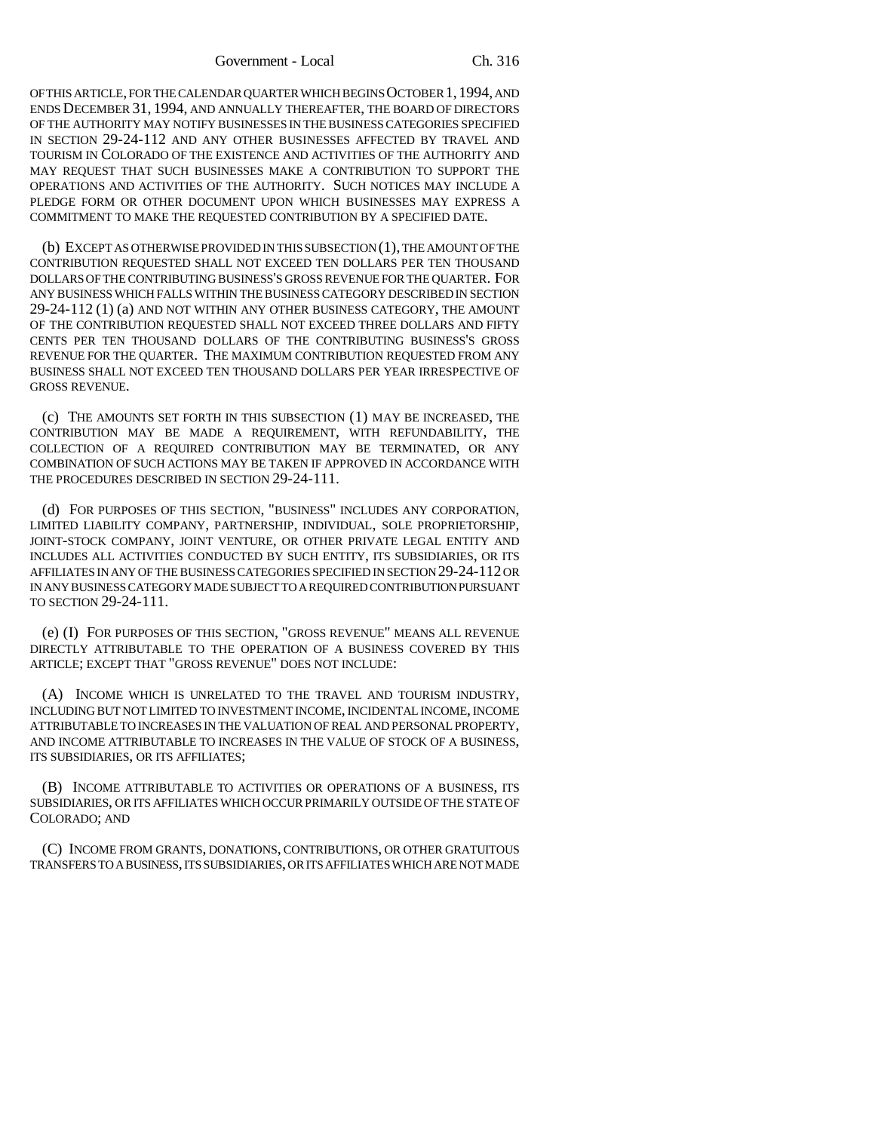OF THIS ARTICLE, FOR THE CALENDAR QUARTER WHICH BEGINS OCTOBER 1,1994, AND ENDS DECEMBER 31, 1994, AND ANNUALLY THEREAFTER, THE BOARD OF DIRECTORS OF THE AUTHORITY MAY NOTIFY BUSINESSES IN THE BUSINESS CATEGORIES SPECIFIED IN SECTION 29-24-112 AND ANY OTHER BUSINESSES AFFECTED BY TRAVEL AND TOURISM IN COLORADO OF THE EXISTENCE AND ACTIVITIES OF THE AUTHORITY AND MAY REQUEST THAT SUCH BUSINESSES MAKE A CONTRIBUTION TO SUPPORT THE OPERATIONS AND ACTIVITIES OF THE AUTHORITY. SUCH NOTICES MAY INCLUDE A PLEDGE FORM OR OTHER DOCUMENT UPON WHICH BUSINESSES MAY EXPRESS A COMMITMENT TO MAKE THE REQUESTED CONTRIBUTION BY A SPECIFIED DATE.

(b) EXCEPT AS OTHERWISE PROVIDED IN THIS SUBSECTION (1), THE AMOUNT OF THE CONTRIBUTION REQUESTED SHALL NOT EXCEED TEN DOLLARS PER TEN THOUSAND DOLLARS OF THE CONTRIBUTING BUSINESS'S GROSS REVENUE FOR THE QUARTER. FOR ANY BUSINESS WHICH FALLS WITHIN THE BUSINESS CATEGORY DESCRIBED IN SECTION 29-24-112 (1) (a) AND NOT WITHIN ANY OTHER BUSINESS CATEGORY, THE AMOUNT OF THE CONTRIBUTION REQUESTED SHALL NOT EXCEED THREE DOLLARS AND FIFTY CENTS PER TEN THOUSAND DOLLARS OF THE CONTRIBUTING BUSINESS'S GROSS REVENUE FOR THE QUARTER. THE MAXIMUM CONTRIBUTION REQUESTED FROM ANY BUSINESS SHALL NOT EXCEED TEN THOUSAND DOLLARS PER YEAR IRRESPECTIVE OF GROSS REVENUE.

(c) THE AMOUNTS SET FORTH IN THIS SUBSECTION (1) MAY BE INCREASED, THE CONTRIBUTION MAY BE MADE A REQUIREMENT, WITH REFUNDABILITY, THE COLLECTION OF A REQUIRED CONTRIBUTION MAY BE TERMINATED, OR ANY COMBINATION OF SUCH ACTIONS MAY BE TAKEN IF APPROVED IN ACCORDANCE WITH THE PROCEDURES DESCRIBED IN SECTION 29-24-111.

(d) FOR PURPOSES OF THIS SECTION, "BUSINESS" INCLUDES ANY CORPORATION, LIMITED LIABILITY COMPANY, PARTNERSHIP, INDIVIDUAL, SOLE PROPRIETORSHIP, JOINT-STOCK COMPANY, JOINT VENTURE, OR OTHER PRIVATE LEGAL ENTITY AND INCLUDES ALL ACTIVITIES CONDUCTED BY SUCH ENTITY, ITS SUBSIDIARIES, OR ITS AFFILIATES IN ANY OF THE BUSINESS CATEGORIES SPECIFIED IN SECTION 29-24-112 OR IN ANY BUSINESS CATEGORY MADE SUBJECT TO A REQUIRED CONTRIBUTION PURSUANT TO SECTION 29-24-111.

(e) (I) FOR PURPOSES OF THIS SECTION, "GROSS REVENUE" MEANS ALL REVENUE DIRECTLY ATTRIBUTABLE TO THE OPERATION OF A BUSINESS COVERED BY THIS ARTICLE; EXCEPT THAT "GROSS REVENUE" DOES NOT INCLUDE:

(A) INCOME WHICH IS UNRELATED TO THE TRAVEL AND TOURISM INDUSTRY, INCLUDING BUT NOT LIMITED TO INVESTMENT INCOME, INCIDENTAL INCOME, INCOME ATTRIBUTABLE TO INCREASES IN THE VALUATION OF REAL AND PERSONAL PROPERTY, AND INCOME ATTRIBUTABLE TO INCREASES IN THE VALUE OF STOCK OF A BUSINESS, ITS SUBSIDIARIES, OR ITS AFFILIATES;

(B) INCOME ATTRIBUTABLE TO ACTIVITIES OR OPERATIONS OF A BUSINESS, ITS SUBSIDIARIES, OR ITS AFFILIATES WHICH OCCUR PRIMARILY OUTSIDE OF THE STATE OF COLORADO; AND

(C) INCOME FROM GRANTS, DONATIONS, CONTRIBUTIONS, OR OTHER GRATUITOUS TRANSFERS TO A BUSINESS, ITS SUBSIDIARIES, OR ITS AFFILIATES WHICH ARE NOT MADE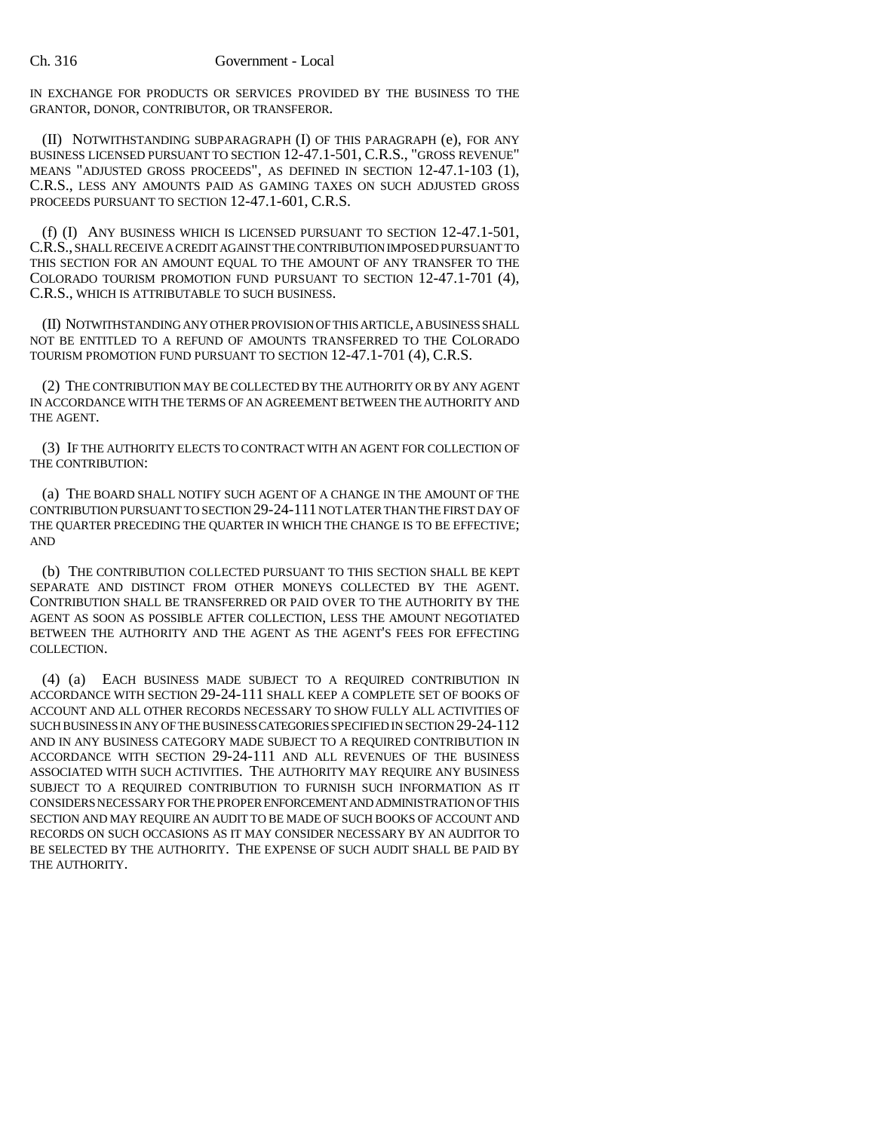IN EXCHANGE FOR PRODUCTS OR SERVICES PROVIDED BY THE BUSINESS TO THE GRANTOR, DONOR, CONTRIBUTOR, OR TRANSFEROR.

(II) NOTWITHSTANDING SUBPARAGRAPH (I) OF THIS PARAGRAPH (e), FOR ANY BUSINESS LICENSED PURSUANT TO SECTION 12-47.1-501, C.R.S., "GROSS REVENUE" MEANS "ADJUSTED GROSS PROCEEDS", AS DEFINED IN SECTION 12-47.1-103 (1), C.R.S., LESS ANY AMOUNTS PAID AS GAMING TAXES ON SUCH ADJUSTED GROSS PROCEEDS PURSUANT TO SECTION 12-47.1-601, C.R.S.

(f) (I) ANY BUSINESS WHICH IS LICENSED PURSUANT TO SECTION 12-47.1-501, C.R.S., SHALL RECEIVE A CREDIT AGAINST THE CONTRIBUTION IMPOSED PURSUANT TO THIS SECTION FOR AN AMOUNT EQUAL TO THE AMOUNT OF ANY TRANSFER TO THE COLORADO TOURISM PROMOTION FUND PURSUANT TO SECTION 12-47.1-701 (4), C.R.S., WHICH IS ATTRIBUTABLE TO SUCH BUSINESS.

(II) NOTWITHSTANDING ANY OTHER PROVISION OF THIS ARTICLE, A BUSINESS SHALL NOT BE ENTITLED TO A REFUND OF AMOUNTS TRANSFERRED TO THE COLORADO TOURISM PROMOTION FUND PURSUANT TO SECTION 12-47.1-701 (4), C.R.S.

(2) THE CONTRIBUTION MAY BE COLLECTED BY THE AUTHORITY OR BY ANY AGENT IN ACCORDANCE WITH THE TERMS OF AN AGREEMENT BETWEEN THE AUTHORITY AND THE AGENT.

(3) IF THE AUTHORITY ELECTS TO CONTRACT WITH AN AGENT FOR COLLECTION OF THE CONTRIBUTION:

(a) THE BOARD SHALL NOTIFY SUCH AGENT OF A CHANGE IN THE AMOUNT OF THE CONTRIBUTION PURSUANT TO SECTION 29-24-111 NOT LATER THAN THE FIRST DAY OF THE QUARTER PRECEDING THE QUARTER IN WHICH THE CHANGE IS TO BE EFFECTIVE; AND

(b) THE CONTRIBUTION COLLECTED PURSUANT TO THIS SECTION SHALL BE KEPT SEPARATE AND DISTINCT FROM OTHER MONEYS COLLECTED BY THE AGENT. CONTRIBUTION SHALL BE TRANSFERRED OR PAID OVER TO THE AUTHORITY BY THE AGENT AS SOON AS POSSIBLE AFTER COLLECTION, LESS THE AMOUNT NEGOTIATED BETWEEN THE AUTHORITY AND THE AGENT AS THE AGENT'S FEES FOR EFFECTING COLLECTION.

(4) (a) EACH BUSINESS MADE SUBJECT TO A REQUIRED CONTRIBUTION IN ACCORDANCE WITH SECTION 29-24-111 SHALL KEEP A COMPLETE SET OF BOOKS OF ACCOUNT AND ALL OTHER RECORDS NECESSARY TO SHOW FULLY ALL ACTIVITIES OF SUCH BUSINESS IN ANY OF THE BUSINESS CATEGORIES SPECIFIED IN SECTION 29-24-112 AND IN ANY BUSINESS CATEGORY MADE SUBJECT TO A REQUIRED CONTRIBUTION IN ACCORDANCE WITH SECTION 29-24-111 AND ALL REVENUES OF THE BUSINESS ASSOCIATED WITH SUCH ACTIVITIES. THE AUTHORITY MAY REQUIRE ANY BUSINESS SUBJECT TO A REQUIRED CONTRIBUTION TO FURNISH SUCH INFORMATION AS IT CONSIDERS NECESSARY FOR THE PROPER ENFORCEMENT AND ADMINISTRATION OF THIS SECTION AND MAY REQUIRE AN AUDIT TO BE MADE OF SUCH BOOKS OF ACCOUNT AND RECORDS ON SUCH OCCASIONS AS IT MAY CONSIDER NECESSARY BY AN AUDITOR TO BE SELECTED BY THE AUTHORITY. THE EXPENSE OF SUCH AUDIT SHALL BE PAID BY THE AUTHORITY.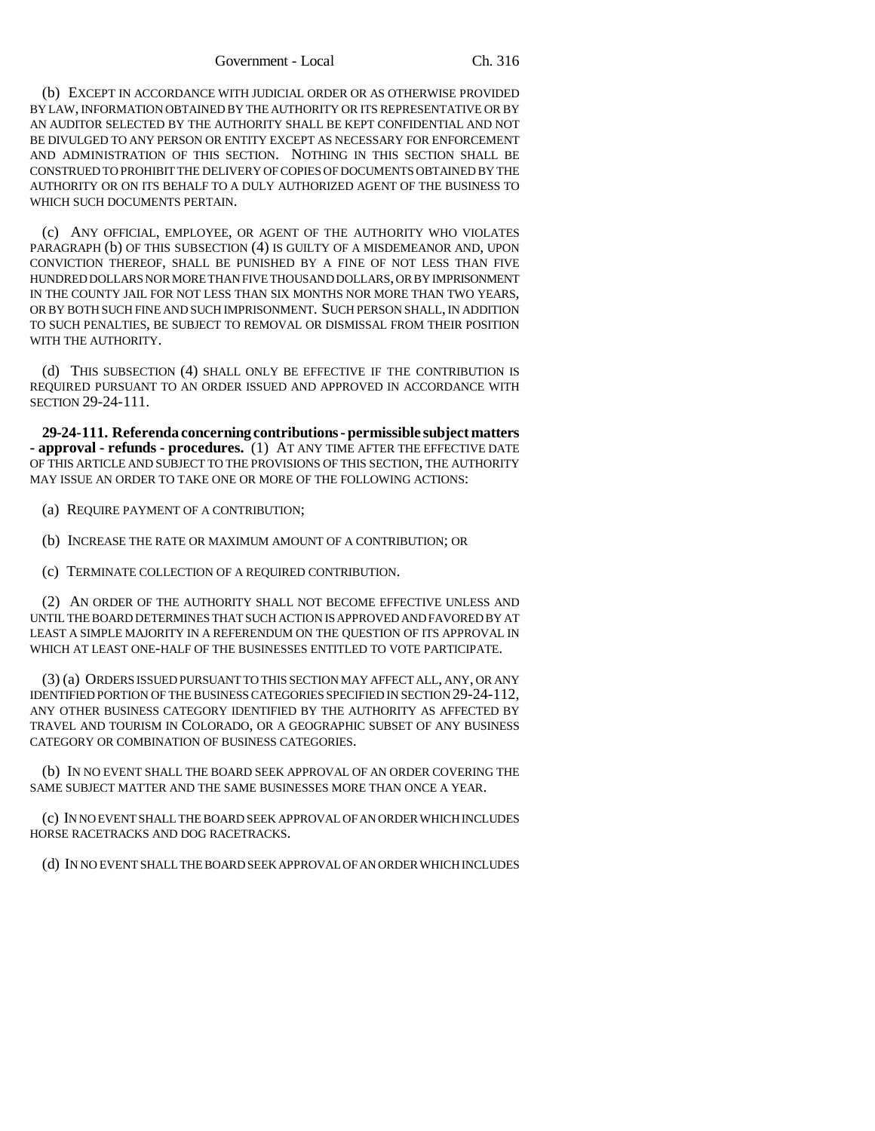(b) EXCEPT IN ACCORDANCE WITH JUDICIAL ORDER OR AS OTHERWISE PROVIDED BY LAW, INFORMATION OBTAINED BY THE AUTHORITY OR ITS REPRESENTATIVE OR BY AN AUDITOR SELECTED BY THE AUTHORITY SHALL BE KEPT CONFIDENTIAL AND NOT BE DIVULGED TO ANY PERSON OR ENTITY EXCEPT AS NECESSARY FOR ENFORCEMENT AND ADMINISTRATION OF THIS SECTION. NOTHING IN THIS SECTION SHALL BE CONSTRUED TO PROHIBIT THE DELIVERY OF COPIES OF DOCUMENTS OBTAINED BY THE AUTHORITY OR ON ITS BEHALF TO A DULY AUTHORIZED AGENT OF THE BUSINESS TO WHICH SUCH DOCUMENTS PERTAIN.

(c) ANY OFFICIAL, EMPLOYEE, OR AGENT OF THE AUTHORITY WHO VIOLATES PARAGRAPH (b) OF THIS SUBSECTION (4) IS GUILTY OF A MISDEMEANOR AND, UPON CONVICTION THEREOF, SHALL BE PUNISHED BY A FINE OF NOT LESS THAN FIVE HUNDRED DOLLARS NOR MORE THAN FIVE THOUSAND DOLLARS, OR BY IMPRISONMENT IN THE COUNTY JAIL FOR NOT LESS THAN SIX MONTHS NOR MORE THAN TWO YEARS, OR BY BOTH SUCH FINE AND SUCH IMPRISONMENT. SUCH PERSON SHALL, IN ADDITION TO SUCH PENALTIES, BE SUBJECT TO REMOVAL OR DISMISSAL FROM THEIR POSITION WITH THE AUTHORITY.

(d) THIS SUBSECTION (4) SHALL ONLY BE EFFECTIVE IF THE CONTRIBUTION IS REQUIRED PURSUANT TO AN ORDER ISSUED AND APPROVED IN ACCORDANCE WITH SECTION 29-24-111.

**29-24-111. Referenda concerning contributions - permissible subject matters - approval - refunds - procedures.** (1) AT ANY TIME AFTER THE EFFECTIVE DATE OF THIS ARTICLE AND SUBJECT TO THE PROVISIONS OF THIS SECTION, THE AUTHORITY MAY ISSUE AN ORDER TO TAKE ONE OR MORE OF THE FOLLOWING ACTIONS:

- (a) REQUIRE PAYMENT OF A CONTRIBUTION;
- (b) INCREASE THE RATE OR MAXIMUM AMOUNT OF A CONTRIBUTION; OR
- (c) TERMINATE COLLECTION OF A REQUIRED CONTRIBUTION.

(2) AN ORDER OF THE AUTHORITY SHALL NOT BECOME EFFECTIVE UNLESS AND UNTIL THE BOARD DETERMINES THAT SUCH ACTION IS APPROVED AND FAVORED BY AT LEAST A SIMPLE MAJORITY IN A REFERENDUM ON THE QUESTION OF ITS APPROVAL IN WHICH AT LEAST ONE-HALF OF THE BUSINESSES ENTITLED TO VOTE PARTICIPATE.

(3) (a) ORDERS ISSUED PURSUANT TO THIS SECTION MAY AFFECT ALL, ANY, OR ANY IDENTIFIED PORTION OF THE BUSINESS CATEGORIES SPECIFIED IN SECTION 29-24-112, ANY OTHER BUSINESS CATEGORY IDENTIFIED BY THE AUTHORITY AS AFFECTED BY TRAVEL AND TOURISM IN COLORADO, OR A GEOGRAPHIC SUBSET OF ANY BUSINESS CATEGORY OR COMBINATION OF BUSINESS CATEGORIES.

(b) IN NO EVENT SHALL THE BOARD SEEK APPROVAL OF AN ORDER COVERING THE SAME SUBJECT MATTER AND THE SAME BUSINESSES MORE THAN ONCE A YEAR.

(c) IN NO EVENT SHALL THE BOARD SEEK APPROVAL OF AN ORDER WHICH INCLUDES HORSE RACETRACKS AND DOG RACETRACKS.

(d) IN NO EVENT SHALL THE BOARD SEEK APPROVAL OF AN ORDER WHICH INCLUDES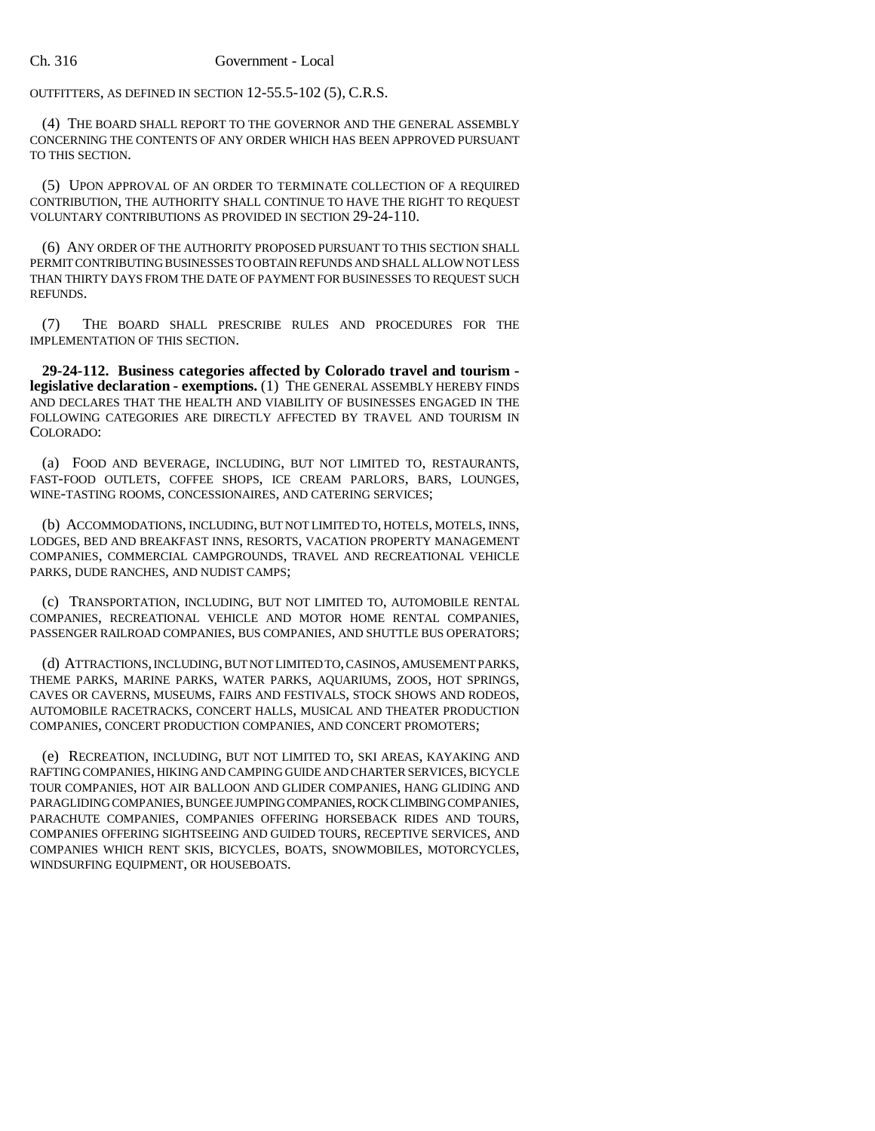OUTFITTERS, AS DEFINED IN SECTION 12-55.5-102 (5), C.R.S.

(4) THE BOARD SHALL REPORT TO THE GOVERNOR AND THE GENERAL ASSEMBLY CONCERNING THE CONTENTS OF ANY ORDER WHICH HAS BEEN APPROVED PURSUANT TO THIS SECTION.

(5) UPON APPROVAL OF AN ORDER TO TERMINATE COLLECTION OF A REQUIRED CONTRIBUTION, THE AUTHORITY SHALL CONTINUE TO HAVE THE RIGHT TO REQUEST VOLUNTARY CONTRIBUTIONS AS PROVIDED IN SECTION 29-24-110.

(6) ANY ORDER OF THE AUTHORITY PROPOSED PURSUANT TO THIS SECTION SHALL PERMIT CONTRIBUTING BUSINESSES TO OBTAIN REFUNDS AND SHALL ALLOW NOT LESS THAN THIRTY DAYS FROM THE DATE OF PAYMENT FOR BUSINESSES TO REQUEST SUCH REFUNDS.

(7) THE BOARD SHALL PRESCRIBE RULES AND PROCEDURES FOR THE IMPLEMENTATION OF THIS SECTION.

**29-24-112. Business categories affected by Colorado travel and tourism legislative declaration - exemptions.** (1) THE GENERAL ASSEMBLY HEREBY FINDS AND DECLARES THAT THE HEALTH AND VIABILITY OF BUSINESSES ENGAGED IN THE FOLLOWING CATEGORIES ARE DIRECTLY AFFECTED BY TRAVEL AND TOURISM IN COLORADO:

(a) FOOD AND BEVERAGE, INCLUDING, BUT NOT LIMITED TO, RESTAURANTS, FAST-FOOD OUTLETS, COFFEE SHOPS, ICE CREAM PARLORS, BARS, LOUNGES, WINE-TASTING ROOMS, CONCESSIONAIRES, AND CATERING SERVICES;

(b) ACCOMMODATIONS, INCLUDING, BUT NOT LIMITED TO, HOTELS, MOTELS, INNS, LODGES, BED AND BREAKFAST INNS, RESORTS, VACATION PROPERTY MANAGEMENT COMPANIES, COMMERCIAL CAMPGROUNDS, TRAVEL AND RECREATIONAL VEHICLE PARKS, DUDE RANCHES, AND NUDIST CAMPS;

(c) TRANSPORTATION, INCLUDING, BUT NOT LIMITED TO, AUTOMOBILE RENTAL COMPANIES, RECREATIONAL VEHICLE AND MOTOR HOME RENTAL COMPANIES, PASSENGER RAILROAD COMPANIES, BUS COMPANIES, AND SHUTTLE BUS OPERATORS;

(d) ATTRACTIONS, INCLUDING, BUT NOT LIMITED TO, CASINOS, AMUSEMENT PARKS, THEME PARKS, MARINE PARKS, WATER PARKS, AQUARIUMS, ZOOS, HOT SPRINGS, CAVES OR CAVERNS, MUSEUMS, FAIRS AND FESTIVALS, STOCK SHOWS AND RODEOS, AUTOMOBILE RACETRACKS, CONCERT HALLS, MUSICAL AND THEATER PRODUCTION COMPANIES, CONCERT PRODUCTION COMPANIES, AND CONCERT PROMOTERS;

(e) RECREATION, INCLUDING, BUT NOT LIMITED TO, SKI AREAS, KAYAKING AND RAFTING COMPANIES, HIKING AND CAMPING GUIDE AND CHARTER SERVICES, BICYCLE TOUR COMPANIES, HOT AIR BALLOON AND GLIDER COMPANIES, HANG GLIDING AND PARAGLIDING COMPANIES, BUNGEE JUMPING COMPANIES, ROCK CLIMBING COMPANIES, PARACHUTE COMPANIES, COMPANIES OFFERING HORSEBACK RIDES AND TOURS, COMPANIES OFFERING SIGHTSEEING AND GUIDED TOURS, RECEPTIVE SERVICES, AND COMPANIES WHICH RENT SKIS, BICYCLES, BOATS, SNOWMOBILES, MOTORCYCLES, WINDSURFING EQUIPMENT, OR HOUSEBOATS.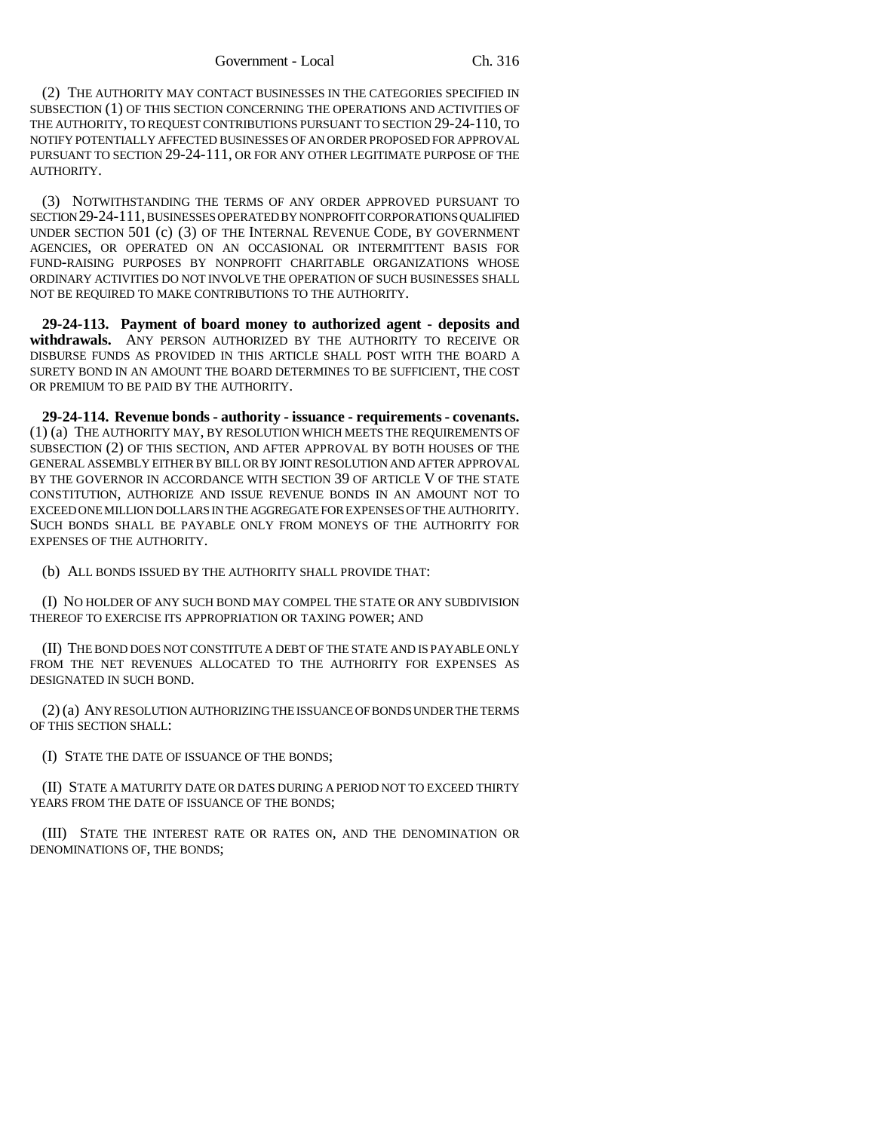(2) THE AUTHORITY MAY CONTACT BUSINESSES IN THE CATEGORIES SPECIFIED IN SUBSECTION (1) OF THIS SECTION CONCERNING THE OPERATIONS AND ACTIVITIES OF THE AUTHORITY, TO REQUEST CONTRIBUTIONS PURSUANT TO SECTION 29-24-110, TO NOTIFY POTENTIALLY AFFECTED BUSINESSES OF AN ORDER PROPOSED FOR APPROVAL PURSUANT TO SECTION 29-24-111, OR FOR ANY OTHER LEGITIMATE PURPOSE OF THE AUTHORITY.

(3) NOTWITHSTANDING THE TERMS OF ANY ORDER APPROVED PURSUANT TO SECTION 29-24-111, BUSINESSES OPERATED BY NONPROFIT CORPORATIONS QUALIFIED UNDER SECTION 501 (c) (3) OF THE INTERNAL REVENUE CODE, BY GOVERNMENT AGENCIES, OR OPERATED ON AN OCCASIONAL OR INTERMITTENT BASIS FOR FUND-RAISING PURPOSES BY NONPROFIT CHARITABLE ORGANIZATIONS WHOSE ORDINARY ACTIVITIES DO NOT INVOLVE THE OPERATION OF SUCH BUSINESSES SHALL NOT BE REQUIRED TO MAKE CONTRIBUTIONS TO THE AUTHORITY.

**29-24-113. Payment of board money to authorized agent - deposits and withdrawals.** ANY PERSON AUTHORIZED BY THE AUTHORITY TO RECEIVE OR DISBURSE FUNDS AS PROVIDED IN THIS ARTICLE SHALL POST WITH THE BOARD A SURETY BOND IN AN AMOUNT THE BOARD DETERMINES TO BE SUFFICIENT, THE COST OR PREMIUM TO BE PAID BY THE AUTHORITY.

**29-24-114. Revenue bonds - authority - issuance - requirements - covenants.** (1) (a) THE AUTHORITY MAY, BY RESOLUTION WHICH MEETS THE REQUIREMENTS OF SUBSECTION (2) OF THIS SECTION, AND AFTER APPROVAL BY BOTH HOUSES OF THE GENERAL ASSEMBLY EITHER BY BILL OR BY JOINT RESOLUTION AND AFTER APPROVAL BY THE GOVERNOR IN ACCORDANCE WITH SECTION 39 OF ARTICLE V OF THE STATE CONSTITUTION, AUTHORIZE AND ISSUE REVENUE BONDS IN AN AMOUNT NOT TO EXCEED ONE MILLION DOLLARS IN THE AGGREGATE FOR EXPENSES OF THE AUTHORITY. SUCH BONDS SHALL BE PAYABLE ONLY FROM MONEYS OF THE AUTHORITY FOR EXPENSES OF THE AUTHORITY.

(b) ALL BONDS ISSUED BY THE AUTHORITY SHALL PROVIDE THAT:

(I) NO HOLDER OF ANY SUCH BOND MAY COMPEL THE STATE OR ANY SUBDIVISION THEREOF TO EXERCISE ITS APPROPRIATION OR TAXING POWER; AND

(II) THE BOND DOES NOT CONSTITUTE A DEBT OF THE STATE AND IS PAYABLE ONLY FROM THE NET REVENUES ALLOCATED TO THE AUTHORITY FOR EXPENSES AS DESIGNATED IN SUCH BOND.

(2) (a) ANY RESOLUTION AUTHORIZING THE ISSUANCE OF BONDS UNDER THE TERMS OF THIS SECTION SHALL:

(I) STATE THE DATE OF ISSUANCE OF THE BONDS;

(II) STATE A MATURITY DATE OR DATES DURING A PERIOD NOT TO EXCEED THIRTY YEARS FROM THE DATE OF ISSUANCE OF THE BONDS;

(III) STATE THE INTEREST RATE OR RATES ON, AND THE DENOMINATION OR DENOMINATIONS OF, THE BONDS;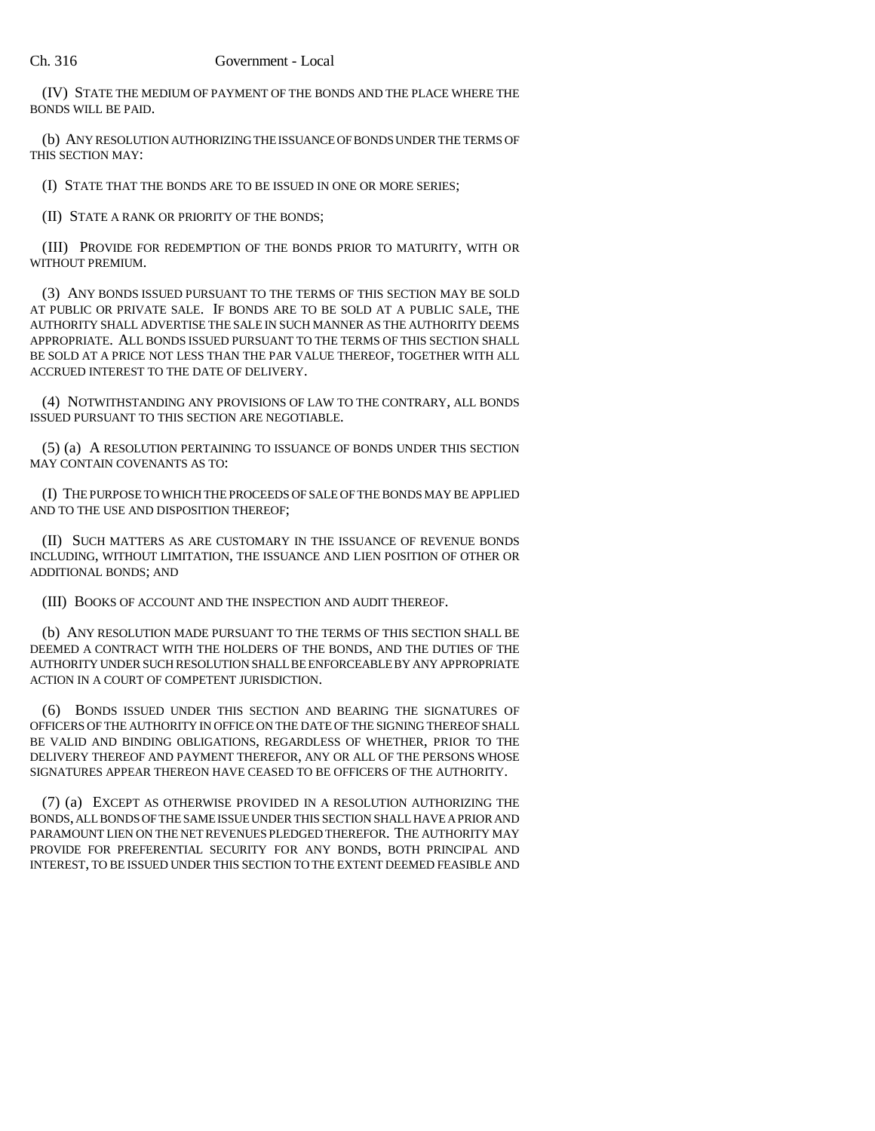(IV) STATE THE MEDIUM OF PAYMENT OF THE BONDS AND THE PLACE WHERE THE BONDS WILL BE PAID.

(b) ANY RESOLUTION AUTHORIZING THE ISSUANCE OF BONDS UNDER THE TERMS OF THIS SECTION MAY:

(I) STATE THAT THE BONDS ARE TO BE ISSUED IN ONE OR MORE SERIES;

(II) STATE A RANK OR PRIORITY OF THE BONDS;

(III) PROVIDE FOR REDEMPTION OF THE BONDS PRIOR TO MATURITY, WITH OR WITHOUT PREMIUM.

(3) ANY BONDS ISSUED PURSUANT TO THE TERMS OF THIS SECTION MAY BE SOLD AT PUBLIC OR PRIVATE SALE. IF BONDS ARE TO BE SOLD AT A PUBLIC SALE, THE AUTHORITY SHALL ADVERTISE THE SALE IN SUCH MANNER AS THE AUTHORITY DEEMS APPROPRIATE. ALL BONDS ISSUED PURSUANT TO THE TERMS OF THIS SECTION SHALL BE SOLD AT A PRICE NOT LESS THAN THE PAR VALUE THEREOF, TOGETHER WITH ALL ACCRUED INTEREST TO THE DATE OF DELIVERY.

(4) NOTWITHSTANDING ANY PROVISIONS OF LAW TO THE CONTRARY, ALL BONDS ISSUED PURSUANT TO THIS SECTION ARE NEGOTIABLE.

(5) (a) A RESOLUTION PERTAINING TO ISSUANCE OF BONDS UNDER THIS SECTION MAY CONTAIN COVENANTS AS TO:

(I) THE PURPOSE TO WHICH THE PROCEEDS OF SALE OF THE BONDS MAY BE APPLIED AND TO THE USE AND DISPOSITION THEREOF;

(II) SUCH MATTERS AS ARE CUSTOMARY IN THE ISSUANCE OF REVENUE BONDS INCLUDING, WITHOUT LIMITATION, THE ISSUANCE AND LIEN POSITION OF OTHER OR ADDITIONAL BONDS; AND

(III) BOOKS OF ACCOUNT AND THE INSPECTION AND AUDIT THEREOF.

(b) ANY RESOLUTION MADE PURSUANT TO THE TERMS OF THIS SECTION SHALL BE DEEMED A CONTRACT WITH THE HOLDERS OF THE BONDS, AND THE DUTIES OF THE AUTHORITY UNDER SUCH RESOLUTION SHALL BE ENFORCEABLE BY ANY APPROPRIATE ACTION IN A COURT OF COMPETENT JURISDICTION.

(6) BONDS ISSUED UNDER THIS SECTION AND BEARING THE SIGNATURES OF OFFICERS OF THE AUTHORITY IN OFFICE ON THE DATE OF THE SIGNING THEREOF SHALL BE VALID AND BINDING OBLIGATIONS, REGARDLESS OF WHETHER, PRIOR TO THE DELIVERY THEREOF AND PAYMENT THEREFOR, ANY OR ALL OF THE PERSONS WHOSE SIGNATURES APPEAR THEREON HAVE CEASED TO BE OFFICERS OF THE AUTHORITY.

(7) (a) EXCEPT AS OTHERWISE PROVIDED IN A RESOLUTION AUTHORIZING THE BONDS, ALL BONDS OF THE SAME ISSUE UNDER THIS SECTION SHALL HAVE A PRIOR AND PARAMOUNT LIEN ON THE NET REVENUES PLEDGED THEREFOR. THE AUTHORITY MAY PROVIDE FOR PREFERENTIAL SECURITY FOR ANY BONDS, BOTH PRINCIPAL AND INTEREST, TO BE ISSUED UNDER THIS SECTION TO THE EXTENT DEEMED FEASIBLE AND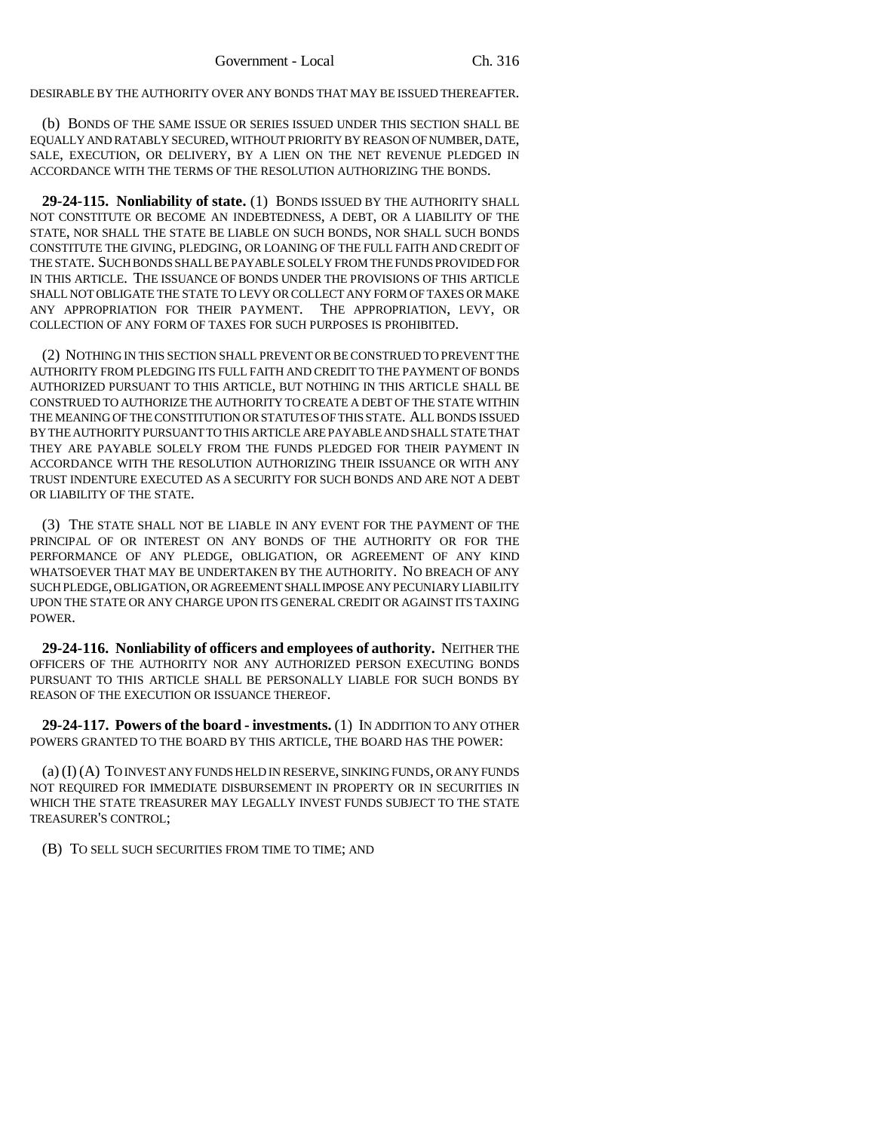DESIRABLE BY THE AUTHORITY OVER ANY BONDS THAT MAY BE ISSUED THEREAFTER.

(b) BONDS OF THE SAME ISSUE OR SERIES ISSUED UNDER THIS SECTION SHALL BE EQUALLY AND RATABLY SECURED, WITHOUT PRIORITY BY REASON OF NUMBER, DATE, SALE, EXECUTION, OR DELIVERY, BY A LIEN ON THE NET REVENUE PLEDGED IN ACCORDANCE WITH THE TERMS OF THE RESOLUTION AUTHORIZING THE BONDS.

**29-24-115. Nonliability of state.** (1) BONDS ISSUED BY THE AUTHORITY SHALL NOT CONSTITUTE OR BECOME AN INDEBTEDNESS, A DEBT, OR A LIABILITY OF THE STATE, NOR SHALL THE STATE BE LIABLE ON SUCH BONDS, NOR SHALL SUCH BONDS CONSTITUTE THE GIVING, PLEDGING, OR LOANING OF THE FULL FAITH AND CREDIT OF THE STATE. SUCH BONDS SHALL BE PAYABLE SOLELY FROM THE FUNDS PROVIDED FOR IN THIS ARTICLE. THE ISSUANCE OF BONDS UNDER THE PROVISIONS OF THIS ARTICLE SHALL NOT OBLIGATE THE STATE TO LEVY OR COLLECT ANY FORM OF TAXES OR MAKE ANY APPROPRIATION FOR THEIR PAYMENT. THE APPROPRIATION, LEVY, OR COLLECTION OF ANY FORM OF TAXES FOR SUCH PURPOSES IS PROHIBITED.

(2) NOTHING IN THIS SECTION SHALL PREVENT OR BE CONSTRUED TO PREVENT THE AUTHORITY FROM PLEDGING ITS FULL FAITH AND CREDIT TO THE PAYMENT OF BONDS AUTHORIZED PURSUANT TO THIS ARTICLE, BUT NOTHING IN THIS ARTICLE SHALL BE CONSTRUED TO AUTHORIZE THE AUTHORITY TO CREATE A DEBT OF THE STATE WITHIN THE MEANING OF THE CONSTITUTION OR STATUTES OF THIS STATE. ALL BONDS ISSUED BY THE AUTHORITY PURSUANT TO THIS ARTICLE ARE PAYABLE AND SHALL STATE THAT THEY ARE PAYABLE SOLELY FROM THE FUNDS PLEDGED FOR THEIR PAYMENT IN ACCORDANCE WITH THE RESOLUTION AUTHORIZING THEIR ISSUANCE OR WITH ANY TRUST INDENTURE EXECUTED AS A SECURITY FOR SUCH BONDS AND ARE NOT A DEBT OR LIABILITY OF THE STATE.

(3) THE STATE SHALL NOT BE LIABLE IN ANY EVENT FOR THE PAYMENT OF THE PRINCIPAL OF OR INTEREST ON ANY BONDS OF THE AUTHORITY OR FOR THE PERFORMANCE OF ANY PLEDGE, OBLIGATION, OR AGREEMENT OF ANY KIND WHATSOEVER THAT MAY BE UNDERTAKEN BY THE AUTHORITY. NO BREACH OF ANY SUCH PLEDGE, OBLIGATION, OR AGREEMENT SHALL IMPOSE ANY PECUNIARY LIABILITY UPON THE STATE OR ANY CHARGE UPON ITS GENERAL CREDIT OR AGAINST ITS TAXING POWER.

**29-24-116. Nonliability of officers and employees of authority.** NEITHER THE OFFICERS OF THE AUTHORITY NOR ANY AUTHORIZED PERSON EXECUTING BONDS PURSUANT TO THIS ARTICLE SHALL BE PERSONALLY LIABLE FOR SUCH BONDS BY REASON OF THE EXECUTION OR ISSUANCE THEREOF.

**29-24-117. Powers of the board - investments.** (1) IN ADDITION TO ANY OTHER POWERS GRANTED TO THE BOARD BY THIS ARTICLE, THE BOARD HAS THE POWER:

(a) (I) (A) TO INVEST ANY FUNDS HELD IN RESERVE, SINKING FUNDS, OR ANY FUNDS NOT REQUIRED FOR IMMEDIATE DISBURSEMENT IN PROPERTY OR IN SECURITIES IN WHICH THE STATE TREASURER MAY LEGALLY INVEST FUNDS SUBJECT TO THE STATE TREASURER'S CONTROL;

(B) TO SELL SUCH SECURITIES FROM TIME TO TIME; AND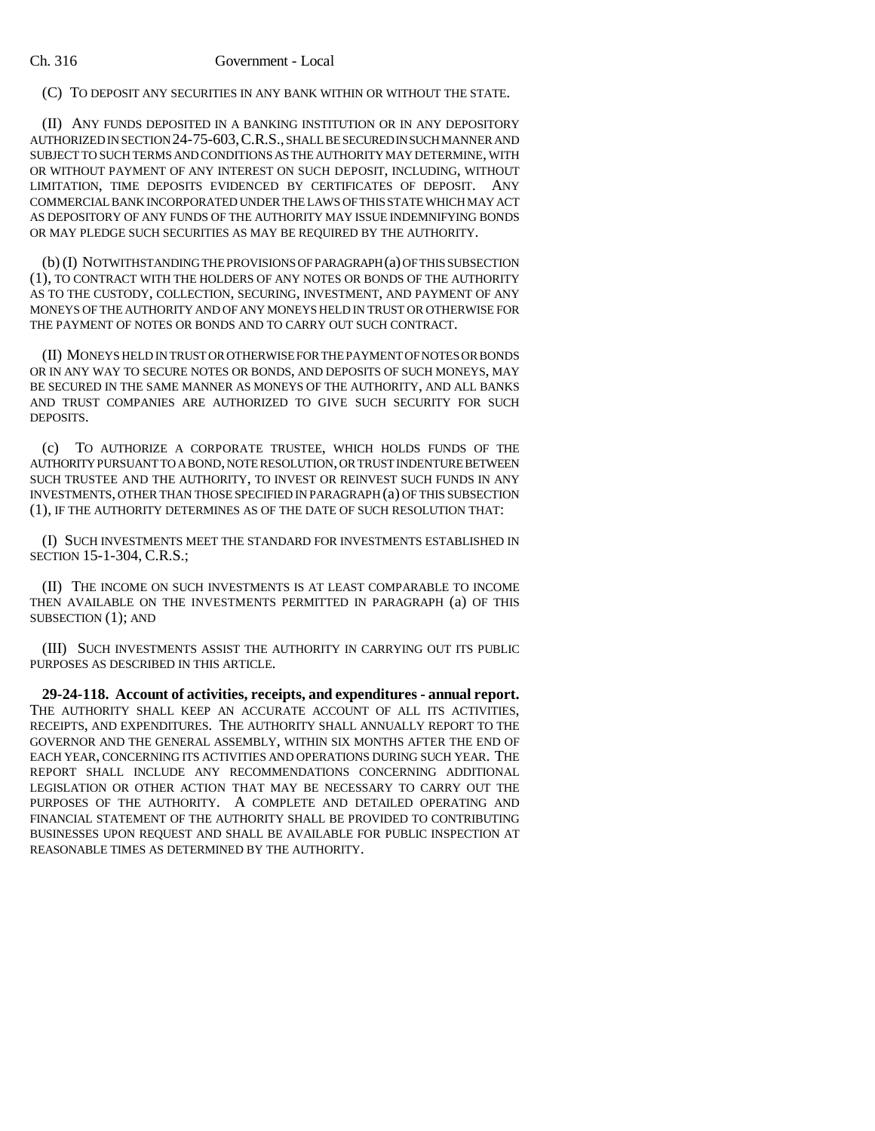## Ch. 316 Government - Local

(C) TO DEPOSIT ANY SECURITIES IN ANY BANK WITHIN OR WITHOUT THE STATE.

(II) ANY FUNDS DEPOSITED IN A BANKING INSTITUTION OR IN ANY DEPOSITORY AUTHORIZED IN SECTION 24-75-603,C.R.S., SHALL BE SECURED IN SUCH MANNER AND SUBJECT TO SUCH TERMS AND CONDITIONS AS THE AUTHORITY MAY DETERMINE, WITH OR WITHOUT PAYMENT OF ANY INTEREST ON SUCH DEPOSIT, INCLUDING, WITHOUT LIMITATION, TIME DEPOSITS EVIDENCED BY CERTIFICATES OF DEPOSIT. ANY COMMERCIAL BANK INCORPORATED UNDER THE LAWS OF THIS STATE WHICH MAY ACT AS DEPOSITORY OF ANY FUNDS OF THE AUTHORITY MAY ISSUE INDEMNIFYING BONDS OR MAY PLEDGE SUCH SECURITIES AS MAY BE REQUIRED BY THE AUTHORITY.

(b) (I) NOTWITHSTANDING THE PROVISIONS OF PARAGRAPH (a) OF THIS SUBSECTION (1), TO CONTRACT WITH THE HOLDERS OF ANY NOTES OR BONDS OF THE AUTHORITY AS TO THE CUSTODY, COLLECTION, SECURING, INVESTMENT, AND PAYMENT OF ANY MONEYS OF THE AUTHORITY AND OF ANY MONEYS HELD IN TRUST OR OTHERWISE FOR THE PAYMENT OF NOTES OR BONDS AND TO CARRY OUT SUCH CONTRACT.

(II) MONEYS HELD IN TRUST OR OTHERWISE FOR THE PAYMENT OF NOTES OR BONDS OR IN ANY WAY TO SECURE NOTES OR BONDS, AND DEPOSITS OF SUCH MONEYS, MAY BE SECURED IN THE SAME MANNER AS MONEYS OF THE AUTHORITY, AND ALL BANKS AND TRUST COMPANIES ARE AUTHORIZED TO GIVE SUCH SECURITY FOR SUCH DEPOSITS.

(c) TO AUTHORIZE A CORPORATE TRUSTEE, WHICH HOLDS FUNDS OF THE AUTHORITY PURSUANT TO A BOND, NOTE RESOLUTION, OR TRUST INDENTURE BETWEEN SUCH TRUSTEE AND THE AUTHORITY, TO INVEST OR REINVEST SUCH FUNDS IN ANY INVESTMENTS, OTHER THAN THOSE SPECIFIED IN PARAGRAPH (a) OF THIS SUBSECTION (1), IF THE AUTHORITY DETERMINES AS OF THE DATE OF SUCH RESOLUTION THAT:

(I) SUCH INVESTMENTS MEET THE STANDARD FOR INVESTMENTS ESTABLISHED IN SECTION 15-1-304, C.R.S.;

(II) THE INCOME ON SUCH INVESTMENTS IS AT LEAST COMPARABLE TO INCOME THEN AVAILABLE ON THE INVESTMENTS PERMITTED IN PARAGRAPH (a) OF THIS SUBSECTION (1); AND

(III) SUCH INVESTMENTS ASSIST THE AUTHORITY IN CARRYING OUT ITS PUBLIC PURPOSES AS DESCRIBED IN THIS ARTICLE.

**29-24-118. Account of activities, receipts, and expenditures - annual report.** THE AUTHORITY SHALL KEEP AN ACCURATE ACCOUNT OF ALL ITS ACTIVITIES, RECEIPTS, AND EXPENDITURES. THE AUTHORITY SHALL ANNUALLY REPORT TO THE GOVERNOR AND THE GENERAL ASSEMBLY, WITHIN SIX MONTHS AFTER THE END OF EACH YEAR, CONCERNING ITS ACTIVITIES AND OPERATIONS DURING SUCH YEAR. THE REPORT SHALL INCLUDE ANY RECOMMENDATIONS CONCERNING ADDITIONAL LEGISLATION OR OTHER ACTION THAT MAY BE NECESSARY TO CARRY OUT THE PURPOSES OF THE AUTHORITY. A COMPLETE AND DETAILED OPERATING AND FINANCIAL STATEMENT OF THE AUTHORITY SHALL BE PROVIDED TO CONTRIBUTING BUSINESSES UPON REQUEST AND SHALL BE AVAILABLE FOR PUBLIC INSPECTION AT REASONABLE TIMES AS DETERMINED BY THE AUTHORITY.